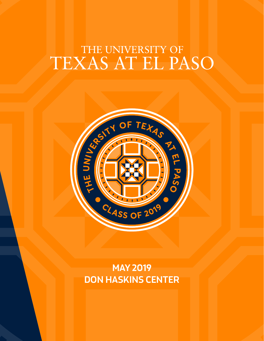# THE UNIVERSITY OF TEXAS AT EL PASO



**MAY 2019 DON HASKINS CENTER**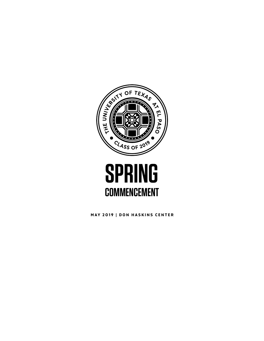



MAY 2019 | DON HASKINS CENTER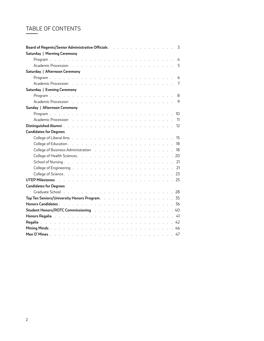# TABLE OF CONTENTS

| Board of Regents/Senior Administrative Officials 3                                                                                                                                                                                  |   |
|-------------------------------------------------------------------------------------------------------------------------------------------------------------------------------------------------------------------------------------|---|
| Saturday   Morning Ceremony                                                                                                                                                                                                         |   |
|                                                                                                                                                                                                                                     |   |
| 5<br>Academic Procession resources and resources and resources are a set of the contract of the contract of the contract of the contract of the contract of the contract of the contract of the contract of the contract of the con |   |
| Saturday   Afternoon Ceremony                                                                                                                                                                                                       |   |
|                                                                                                                                                                                                                                     | 6 |
|                                                                                                                                                                                                                                     |   |
| Saturday   Evening Ceremony                                                                                                                                                                                                         |   |
|                                                                                                                                                                                                                                     | 8 |
|                                                                                                                                                                                                                                     | 9 |
| Sunday   Afternoon Ceremony                                                                                                                                                                                                         |   |
|                                                                                                                                                                                                                                     |   |
|                                                                                                                                                                                                                                     |   |
|                                                                                                                                                                                                                                     |   |
| <b>Candidates for Degrees</b>                                                                                                                                                                                                       |   |
|                                                                                                                                                                                                                                     |   |
|                                                                                                                                                                                                                                     |   |
| College of Business Administration (ed. 2008) (College of Business Administration (ed. 2008)                                                                                                                                        |   |
|                                                                                                                                                                                                                                     |   |
|                                                                                                                                                                                                                                     |   |
|                                                                                                                                                                                                                                     |   |
|                                                                                                                                                                                                                                     |   |
| UTEP Milestones but a constant and a construction of the constant of the constant of the US 25                                                                                                                                      |   |
| <b>Candidates for Degrees</b>                                                                                                                                                                                                       |   |
|                                                                                                                                                                                                                                     |   |
|                                                                                                                                                                                                                                     |   |
|                                                                                                                                                                                                                                     |   |
| Student Honors/ROTC Commissioning with the state of the state of the state of the Student Honors / RO                                                                                                                               |   |
| <b>Honors Regalia</b> description of the contract of the contract of the contract of the contract of the contract of the contract of the contract of the contract of the contract of the contract of the contract of the contract o |   |
|                                                                                                                                                                                                                                     |   |
|                                                                                                                                                                                                                                     |   |
|                                                                                                                                                                                                                                     |   |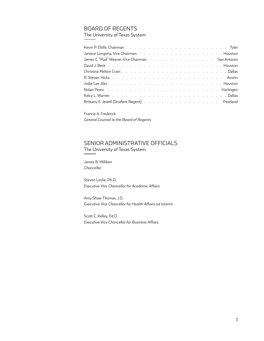# BOARD OF REGENTS

The University of Texas System

| Janiece Longoria, Vice Chairman (Contains and Contains and Contains and Contains an Industry Alexander Long                                                                                                                    |
|--------------------------------------------------------------------------------------------------------------------------------------------------------------------------------------------------------------------------------|
| James C. "Rad" Weaver, Vice Chairman San Antonio                                                                                                                                                                               |
|                                                                                                                                                                                                                                |
|                                                                                                                                                                                                                                |
|                                                                                                                                                                                                                                |
|                                                                                                                                                                                                                                |
|                                                                                                                                                                                                                                |
| Kelcy L. Warren but a contract to a contract the contract of the contract of the contract of the contract of the contract of the contract of the contract of the contract of the contract of the contract of the contract of t |
|                                                                                                                                                                                                                                |

Francie A. Frederick *General Counsel to the Board of Regents*

# SENIOR ADMINISTRATIVE OFFICIALS The University of Texas System

James B. Milliken *Chancellor*

Steven Leslie, Ph.D. *Executive Vice Chancellor for Academic Affairs*

Amy Shaw Thomas, J.D. *Executive Vice Chancellor for Health Affairs ad interim*

Scott C. Kelley, Ed.D. *Executive Vice Chancellor for Business Affairs*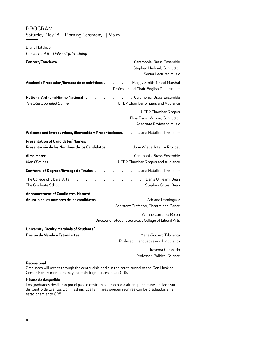# PROGRAM

Saturday, May 18 | Morning Ceremony | 9 a.m.

Diana Natalicio

*President of the University, Presiding*

Irasema Coronado Professor, Political Science

#### **Recessional**

Graduates will recess through the center aisle and out the south tunnel of the Don Haskins Center. Family members may meet their graduates in Lot GR5.

### **Himno de despedida**

Los graduados desfilarán por el pasillo central y saldrán hacia afuera por el túnel del lado sur del Centro de Eventos Don Haskins. Los familiares pueden reunirse con los graduados en el estacionamiento GR5.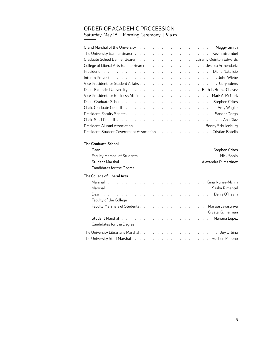# ORDER OF ACADEMIC PROCESSION

Saturday, May 18 | Morning Ceremony | 9 a.m.

| Graduate School Banner Bearer (Changel Containment Containment Country Quinton Edwards)                        |
|----------------------------------------------------------------------------------------------------------------|
| College of Liberal Arts Banner Bearer No. M. A. A. A. A. A. A. A. Jessica Armendariz                           |
|                                                                                                                |
|                                                                                                                |
|                                                                                                                |
| Dean, Extended University Beth L. Brunk-Chavez                                                                 |
| Vice President for Business Affairs Mark A. McGurk                                                             |
|                                                                                                                |
| Chair, Graduate Council (Andrew Letter Arrent Arrent Arrent Arrent Arrent Arrent Arrent Arrent Arrent Arrent A |
|                                                                                                                |
|                                                                                                                |
| President, Alumni Association Bonny Schulenburg                                                                |
| President, Student Government Association Cristian Botello                                                     |
|                                                                                                                |
| <b>The Graduate School</b>                                                                                     |
| $C_1$ . The set $C_2$ is the set<br>$\blacksquare$                                                             |

| Dean research and the Crites and Theorem Crites and the research of the second service in the service of the s |  |  |  |  |  |  |  |  |
|----------------------------------------------------------------------------------------------------------------|--|--|--|--|--|--|--|--|
|                                                                                                                |  |  |  |  |  |  |  |  |
| Student Marshal (Charles Line Area Counter Line Area Counter Line Area Counter Line Area Counter Line 2        |  |  |  |  |  |  |  |  |
| Candidates for the Degree                                                                                      |  |  |  |  |  |  |  |  |

# **The College of Liberal Arts**

| Faculty of the College                                                 |  |  |  |  |  |  |  |                   |
|------------------------------------------------------------------------|--|--|--|--|--|--|--|-------------------|
| Faculty Marshals of Students. Maryse Jayasuriya                        |  |  |  |  |  |  |  |                   |
|                                                                        |  |  |  |  |  |  |  | Crystal G. Herman |
|                                                                        |  |  |  |  |  |  |  |                   |
| Candidates for the Degree                                              |  |  |  |  |  |  |  |                   |
|                                                                        |  |  |  |  |  |  |  |                   |
| The University Staff Marshal                             Rueben Moreno |  |  |  |  |  |  |  |                   |
|                                                                        |  |  |  |  |  |  |  |                   |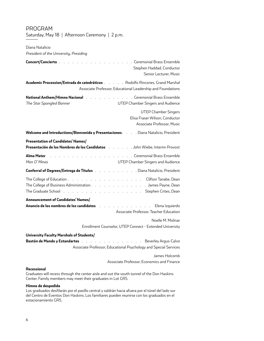| Diana Natalicio                                                                                                                                                                                                                                                      |
|----------------------------------------------------------------------------------------------------------------------------------------------------------------------------------------------------------------------------------------------------------------------|
| President of the University, Presiding                                                                                                                                                                                                                               |
| . Ceremonial Brass Ensemble<br>Concert/Concierto.<br>Stephen Haddad, Conductor<br>Senior Lecturer, Music                                                                                                                                                             |
| Academic Procession/Entrada de catedráticos Rodolfo Rincones, Grand Marshal<br>Associate Professor, Educational Leadership and Foundations                                                                                                                           |
| <b>National Anthem/Himno Nacional</b> .<br>. Ceremonial Brass Ensemble<br>and the company of the company<br>The Star Spangled Banner<br>UTEP Chamber Singers and Audience                                                                                            |
| <b>UTEP Chamber Singers</b><br>Elisa Fraser Wilson, Conductor<br>Associate Professor, Music                                                                                                                                                                          |
| Welcome and Introductions/Bienvenida y Presentaciones. Diana Natalicio, President                                                                                                                                                                                    |
| Presentation of Candidates' Names/<br>Presentación de los Nombres de los Candidatos (etc. etc. etc. John Wiebe, Interim Provost                                                                                                                                      |
| Alma Mater<br>. Ceremonial Brass Ensemble<br>Men O'Mines<br>UTEP Chamber Singers and Audience                                                                                                                                                                        |
| . Diana Natalicio, President<br>Conferral of Degrees/Entrega de Títulos.                                                                                                                                                                                             |
| The College of Education<br>Clifton Tanabe, Dean<br>and a state<br>The College of Business Administration. James Payne, Dean<br>The Graduate School (Burnstein Arrestor Arrestor Arrestor Arrestor Arrestor Arrestor Arrestor Arrestor Arrestor                      |
| Announcement of Candidates' Names/<br>Anuncio de los nombres de los candidatos     .<br>Elena Izquierdo<br>the contract of the contract of the contract of the contract of the contract of the contract of the contract of<br>Associate Professor, Teacher Education |
| Noelle M. Molinar                                                                                                                                                                                                                                                    |
| Enrollment Counselor, UTEP Connect - Extended University                                                                                                                                                                                                             |
| University Faculty Marshals of Students/<br>Bastón de Mando y Estandartes<br>. Beverley Argus-Calvo<br>Associate Professor, Educational Psychology and Special Services                                                                                              |
| James Holcomb                                                                                                                                                                                                                                                        |

# Associate Professor, Economics and Finance

#### **Recessional**

PROGRAM

Saturday, May 18 | Afternoon Ceremony | 2 p.m.

Graduates will recess through the center aisle and out the south tunnel of the Don Haskins Center. Family members may meet their graduates in Lot GR5.

#### **Himno de despedida**

Los graduados desfilarán por el pasillo central y saldrán hacia afuera por el túnel del lado sur del Centro de Eventos Don Haskins. Los familiares pueden reunirse con los graduados en el estacionamiento GR5.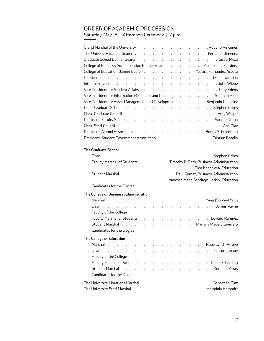# ORDER OF ACADEMIC PROCESSION

Saturday, May 18 | Afternoon Ceremony | 2 p.m.

| Grand Marshal of the University (Ed. Louis Louis Louis Louis Level And Alfonsones                               |
|-----------------------------------------------------------------------------------------------------------------|
| The University Banner Bearer (Collection Contracts of Contracts of Contracts of Contracts of Contracts of Contr |
| Graduate School Banner Bearer (Basic Robert Hansach Reader School Banner Bearer (Basic Robert Hansach Reader S  |
| College of Business Administration Banner Bearer Maria Elena Martinez                                           |
| College of Education Banner Bearer Yessica Fernandez Acosta                                                     |
|                                                                                                                 |
|                                                                                                                 |
|                                                                                                                 |
| Vice President for Information Resources and Planning Stephen Riter                                             |
| Vice President for Asset Management and Development (Alleman Allen and Development Allen Alenjamin Gonzalez     |
|                                                                                                                 |
| Chair, Graduate Council (Allen Lewis Allen Lewis Allen Lewis Allen Lewis Allen Lewis Allen Lewis Allen Lewis A  |
|                                                                                                                 |
|                                                                                                                 |
| President, Alumni Association Bonny Schulenburg                                                                 |
| President, Student Government Association Cristian Botello                                                      |

# **The Graduate School**

|                                        | Faculty Marshal of Students Timothy P. Roth, Business Administration                                           |
|----------------------------------------|----------------------------------------------------------------------------------------------------------------|
|                                        | Olga Kosheleva, Education                                                                                      |
|                                        | Student Marshal No. No. No. No. No. No. No. No. Raul Gomez, Business Administration                            |
|                                        | Vanessa Marie Santiago-Larkin, Education                                                                       |
| Candidates for the Degree              |                                                                                                                |
| The College of Business Administration |                                                                                                                |
|                                        |                                                                                                                |
|                                        |                                                                                                                |
| Faculty of the College                 |                                                                                                                |
|                                        | Faculty Marshal of Students Edward Ramirez                                                                     |
|                                        | Student Marshal No. No. No. No. No. No. No. Nariana Madero Guerrero                                            |
| Candidates for the Degree              |                                                                                                                |
| The College of Education               |                                                                                                                |
|                                        |                                                                                                                |
|                                        |                                                                                                                |
| Faculty of the College                 |                                                                                                                |
|                                        | Faculty Marshal of Students Diane E. Golding                                                                   |
|                                        |                                                                                                                |
| Candidates for the Degree              |                                                                                                                |
|                                        | The University Librarians Marshal. Sebastian Diaz                                                              |
|                                        | The University Staff Marshal No. Album No. Album No. Album No. Album No. Album No. Album No. Album No. Album N |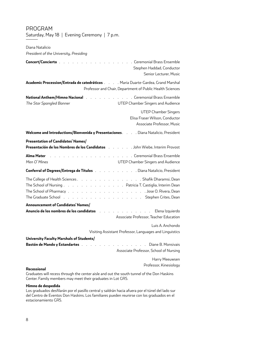| Diana Natalicio<br>President of the University, Presiding                                                                                                                                                                                                                 |                                                                                             |
|---------------------------------------------------------------------------------------------------------------------------------------------------------------------------------------------------------------------------------------------------------------------------|---------------------------------------------------------------------------------------------|
| Concert/Concierto                                                                                                                                                                                                                                                         | . Ceremonial Brass Ensemble<br>Stephen Haddad, Conductor<br>Senior Lecturer, Music          |
| Academic Procession/Entrada de catedráticos Maria Duarte-Gardea, Grand Marshal                                                                                                                                                                                            | Professor and Chair, Department of Public Health Sciences                                   |
| National Anthem/Himno Nacional National Antional Antional Brass Ensemble<br>The Star Spangled Banner                                                                                                                                                                      | UTEP Chamber Singers and Audience                                                           |
|                                                                                                                                                                                                                                                                           | <b>UTEP Chamber Singers</b><br>Elisa Fraser Wilson, Conductor<br>Associate Professor, Music |
| Welcome and Introductions/Bienvenida y Presentaciones. Diana Natalicio, President                                                                                                                                                                                         |                                                                                             |
| Presentation of Candidates' Names/<br>Presentación de los Nombres de los Candidatos John Wiebe, Interim Provost                                                                                                                                                           |                                                                                             |
| Alma Mater<br>Men O'Mines                                                                                                                                                                                                                                                 | . Ceremonial Brass Ensemble<br>UTEP Chamber Singers and Audience                            |
| Conferral of Degrees/Entrega de Títulos Diana Natalicio, President                                                                                                                                                                                                        |                                                                                             |
| The College of Health Sciences Shafik Dharamsi, Dean<br>The School of Nursing Patricia T. Castiglia, Interim Dean<br>The Graduate School (The Case of Contract Contract Contract Contract Contract Contract Contract Contract Contr<br>Announcement of Candidates' Names/ |                                                                                             |
| Anuncio de los nombres de los candidatos and antica antico de los modelos de la construcción de la construcció                                                                                                                                                            | Elena Izquierdo<br>Associate Professor, Teacher Education                                   |
|                                                                                                                                                                                                                                                                           | Luis A. Anchondo<br>Visiting Assistant Professor, Languages and Linguistics                 |
| University Faculty Marshals of Students/<br>Bastón de Mando y Estandartes a comunicario de la construcción de Mando y Estandartes de la comunicación de la                                                                                                                | Diane B. Monsivais<br>Associate Professor, School of Nursing<br>Harry Meeuwsen              |
| Recessional                                                                                                                                                                                                                                                               | Professor, Kinesiology                                                                      |

PROGRAM

Saturday, May 18 | Evening Ceremony | 7 p.m.

Graduates will recess through the center aisle and out the south tunnel of the Don Haskins Center. Family members may meet their graduates in Lot GR5.

#### **Himno de despedida**

Los graduados desfilarán por el pasillo central y saldrán hacia afuera por el túnel del lado sur del Centro de Eventos Don Haskins. Los familiares pueden reunirse con los graduados en el estacionamiento GR5.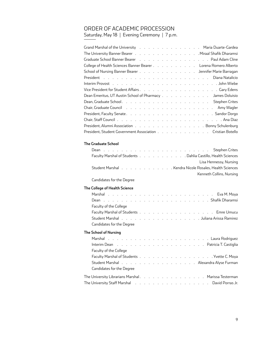# ORDER OF ACADEMIC PROCESSION

Saturday, May 18 | Evening Ceremony | 7 p.m.

| Grand Marshal of the University (Changeline Case of Changeline Cardea Cardea Cardea Cardea Cardea Cardea Cardea |
|-----------------------------------------------------------------------------------------------------------------|
| The University Banner Bearer (Collection Contract Line Contract Line Contract Line Character Line Character Li  |
| Graduate School Banner Bearer No. 1. 1. 1. 1. 1. 1. 1. 1. 1. 1. 1. Paul Adam Cline                              |
| College of Health Sciences Banner Bearer Lorena Romero Alberto                                                  |
| School of Nursing Banner Bearer Jennifer Marie Barragan                                                         |
|                                                                                                                 |
|                                                                                                                 |
|                                                                                                                 |
| Dean Emeritus, UT Austin School of Pharmacy James Doluisio                                                      |
|                                                                                                                 |
| Chair, Graduate Council (Andrew Lewis Array Array Array Array Array Wagler                                      |
|                                                                                                                 |
|                                                                                                                 |
| President, Alumni Association Bonny Schulenburg                                                                 |
| President, Student Government Association Cristian Botello                                                      |
|                                                                                                                 |

### **The Graduate School**

| Faculty Marshal of Students Dahlia Castillo, Health Sciences                      |                          |
|-----------------------------------------------------------------------------------|--------------------------|
|                                                                                   | Lisa Hennessy, Nursing   |
| Student Marshal No. All Allen Controller Leader Archives Archives Student Marshal |                          |
|                                                                                   | Kenneth Collins, Nursing |

### Candidates for the Degree

### **The College of Health Science**

| <b>Faculty of the College</b>                                                                                  |  |
|----------------------------------------------------------------------------------------------------------------|--|
|                                                                                                                |  |
| Student Marshal No. You are a series and series a series are series and Student Marshal No. You are series and |  |
| Candidates for the Degree                                                                                      |  |
| The School of Nursing                                                                                          |  |
|                                                                                                                |  |
| Interim Dean (Fig. 1) (Fig. 1) (Fig. 1) (Fig. 1) (Fig. 1) (Fig. 1) (Fig. 1) (Patricia T. Castiglia             |  |
| Faculty of the College                                                                                         |  |
|                                                                                                                |  |
| Student Marshal Alexandra Alyse Furman                                                                         |  |
| Candidates for the Degree                                                                                      |  |

| The University Librarians Marshal. Marissa Testerman                                                                                               |  |  |  |  |  |  |  |  |  |
|----------------------------------------------------------------------------------------------------------------------------------------------------|--|--|--|--|--|--|--|--|--|
| The University Staff Marshal No. You are a series as a series of the University Staff Marshal No. You are a series of the University Staff Marshal |  |  |  |  |  |  |  |  |  |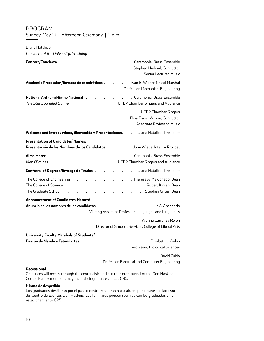| Diana Natalicio<br>President of the University, Presiding                                                                                                                                                                            |                                                                                                                    |
|--------------------------------------------------------------------------------------------------------------------------------------------------------------------------------------------------------------------------------------|--------------------------------------------------------------------------------------------------------------------|
| Concert/Concierto.                                                                                                                                                                                                                   | . Ceremonial Brass Ensemble<br>Stephen Haddad, Conductor<br>Senior Lecturer, Music                                 |
| Academic Procession/Entrada de catedráticos Ryan B. Wicker, Grand Marshal                                                                                                                                                            | Professor, Mechanical Engineering                                                                                  |
| National Anthem/Himno Nacional                                                                                                                                                                                                       | . Ceremonial Brass Ensemble                                                                                        |
| The Star Spangled Banner                                                                                                                                                                                                             | UTEP Chamber Singers and Audience                                                                                  |
|                                                                                                                                                                                                                                      | <b>UTEP Chamber Singers</b><br>Elisa Fraser Wilson, Conductor<br>Associate Professor, Music                        |
| Welcome and Introductions/Bienvenida y Presentaciones. Diana Natalicio, President                                                                                                                                                    |                                                                                                                    |
| Presentation of Candidates' Names/                                                                                                                                                                                                   |                                                                                                                    |
| Presentación de los Nombres de los Candidatos (etc. etc. etc. John Wiebe, Interim Provost                                                                                                                                            |                                                                                                                    |
| Alma Mater<br>$Men$ $O'Mines$                                                                                                                                                                                                        | . Ceremonial Brass Ensemble<br>UTEP Chamber Singers and Audience                                                   |
| Conferral of Degrees/Entrega de Títulos                                                                                                                                                                                              | . Diana Natalicio, President                                                                                       |
| The College of Engineering November 2014 (November 2014) Allen College of Engineering November 2014 (November 2015)<br>The Graduate School (Burnstein Aller Line Aller Line Aller Line Aller Line Aller Line School (Burnstein Aller |                                                                                                                    |
| Announcement of Candidates' Names/                                                                                                                                                                                                   |                                                                                                                    |
| Anuncio de los nombres de los candidatos                                                                                                                                                                                             | . Luis A. Anchondo<br>and the company of the company of<br>Visiting Assistant Professor, Languages and Linguistics |
|                                                                                                                                                                                                                                      | Yvonne Carranza Rolph<br>Director of Student Services, College of Liberal Arts                                     |
| University Faculty Marshals of Students/<br>Bastón de Mando y Estandartes                                                                                                                                                            | Elizabeth J. Walsh<br>Professor, Biological Sciences                                                               |
|                                                                                                                                                                                                                                      | David Zubia<br>Professor, Electrical and Computer Engineering                                                      |
|                                                                                                                                                                                                                                      |                                                                                                                    |

# PROGRAM

Sunday, May 19 | Afternoon Ceremony | 2 p.m.

#### **Recessional**

Graduates will recess through the center aisle and out the south tunnel of the Don Haskins Center. Family members may meet their graduates in Lot GR5.

### **Himno de despedida**

Los graduados desfilarán por el pasillo central y saldrán hacia afuera por el túnel del lado sur del Centro de Eventos Don Haskins. Los familiares pueden reunirse con los graduados en el estacionamiento GR5.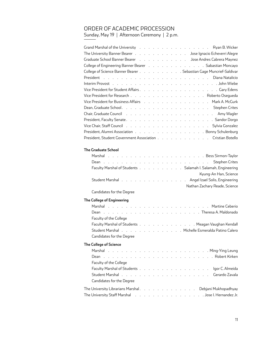# ORDER OF ACADEMIC PROCESSION

Sunday, May 19 | Afternoon Ceremony | 2 p.m.

| Grand Marshal of the University (Theory of Array Array of Array Array Array Array Array Array Array Array Array A   |
|---------------------------------------------------------------------------------------------------------------------|
| The University Banner Bearer Jose Ignacio Echeverri Alegre                                                          |
| Graduate School Banner Bearer No. Album No. Album Nose Andres Cabrera Maynez                                        |
| College of Engineering Banner Bearer (College Landscape Landscape Landscape College of Engineering Banner Bearer    |
| College of Science Banner Bearer Sebastian Gage Muncrief-Saldivar                                                   |
|                                                                                                                     |
|                                                                                                                     |
|                                                                                                                     |
| Vice President for Research Roberto Osegueda                                                                        |
| Vice President for Business Affairs (e.g., e.g., e.g., e.g., e.g., e.g., Mark A. McGurk                             |
|                                                                                                                     |
| Chair, Graduate Council (Alberta Alberta Alberta Alberta Alberta Alberta Alberta Alberta Alberta Alberta Alber      |
|                                                                                                                     |
| Vice Chair, Staff Council (D. Louis Leoning Leoning Leoning Leoning Leoning Leoning Leoning Contact Sylvia Gonzalez |
| President, Alumni Association Bonny Schulenburg                                                                     |
| President, Student Government Association Cristian Botello                                                          |
|                                                                                                                     |

# **The Graduate School**

|  |  |  |  |  | Faculty Marshal of Students Salamah I. Salamah, Engineering            |
|--|--|--|--|--|------------------------------------------------------------------------|
|  |  |  |  |  | Kyung-An Han, Science                                                  |
|  |  |  |  |  | Student Marshal No. No. No. No. No. No. Angel Izael Solis, Engineering |
|  |  |  |  |  | Nathan Zachary Reade, Science                                          |

### Candidates for the Degree

# **The College of Engineering**

| Faculty of the College                                                       |
|------------------------------------------------------------------------------|
| Faculty Marshal of Students Meagan Vaughan Kendall                           |
| Student Marshal No. No. No. No. No. No. No. Nichelle Esmeralda Patino Calero |
| Candidates for the Degree                                                    |
|                                                                              |

### **The College of Science**

| Faculty of the College                                                                                                                                                                                                         |  |  |  |  |  |  |  |  |
|--------------------------------------------------------------------------------------------------------------------------------------------------------------------------------------------------------------------------------|--|--|--|--|--|--|--|--|
|                                                                                                                                                                                                                                |  |  |  |  |  |  |  |  |
| Student Marshal No. And Marshall New York New York New York New York Student Marshall New York New York New York New York New York New York New York New York New York New York New York New York New York New York New York N |  |  |  |  |  |  |  |  |
| Candidates for the Degree                                                                                                                                                                                                      |  |  |  |  |  |  |  |  |
| The University Librarians Marshal Debjani Mukhopadhyay                                                                                                                                                                         |  |  |  |  |  |  |  |  |
| The University Staff Marshal                       Jose I. Hernandez Jr.                                                                                                                                                       |  |  |  |  |  |  |  |  |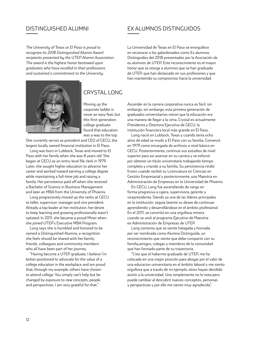*The University of Texas at El Paso is proud to recognize its 2018 Distinguished Alumni Award recipients presented by the UTEP Alumni Association. The award is the highest honor bestowed upon graduates who have excelled in their professions and sustained a commitment to the University.*



# CRYSTAL LONG

Moving up the corporate ladder is never an easy feat, but this first-generation college graduate found that education was a way to the top.

She currently serves as president and CEO of GECU, the largest locally owned financial institution in El Paso.

Long was born in Lubbock, Texas and moved to El Paso with her family when she was 8 years old. She began at GECU as an entry-level file clerk in 1979. Later, she sought higher education to advance her career and worked toward earning a college degree while maintaining a full-time job and raising a family. Her persistence paid off when she received a Bachelor of Science in Business Management and later an MBA from the University of Phoenix.

Long progressively moved up the ranks at GECU to teller, supervisor, manager and vice president. Already a top leader at her institution, her desire to keep learning and growing professionally wasn't satiated. In 2011, she became a proud Miner when she joined UTEP's Executive MBA Program.

Long says she is humbled and honored to be named a Distinguished Alumna, a recognition she feels should be shared with her family, friends, colleagues and community members who all have been part of her journey.

"Having become a UTEP graduate, I believe I'm better positioned to advocate for the value of a college education in the workplace and am proud that, through my example, others have chosen to attend college. You simply can't help but be changed by exposure to new concepts, people and perspectives. I am very grateful for that."

# DISTINGUISHED ALUMNI EX ALUMNOS DISTINGUIDOS

La Universidad de Texas en El Paso se enorgullece en reconocer a los galardonados como Ex alumnos Distinguidos del 2018 presentados por la Asociación de ex alumnos de UTEP. Este reconocimiento es el mayor honor que se otorga a alumnos que se han graduado de UTEP, que han destacado en sus profesiones y que han mantenido su compromiso hacia la universidad.

Ascender en la carrera corporativa nunca es fácil, sin embargo, sin embargo, esta primera generación de graduados universitarios vieron que la educación era una manera de llegar a la cima. Crystal es actualmente Presidenta y Directora Ejecutiva de GECU, la institución financiera local más grande en El Paso.

Long nació en Lubbock, Texas y cuando tenía ocho años de edad se mudó a El Paso con su familia. Comenzó en 1979 como encargada de archivos a nivel básico en GECU. Posteriormente, continuó sus estudios de nivel superior para asi avanzar en su carrera y se esforzó por obtener un título universitario trabajando tiempo completo y criando a su familia. Su persistencia rindió frutos cuando recibió su Licenciatura en Ciencias en Gestión Empresarial y posteriormente, una Maestria en Administración de Empresas en la Universidad de Phoenix.

En GECU, Long fue ascendiendo de rango en forma progresiva a cajera, supervisora, gerente y vicepresidenta. Siendo ya una de las líderes principales en la institución, seguía latente su deseo de continuar aprendiendo y desarrollándose en el ámbito ptofesional. En el 2011, se convirtió en una orgullosa minera cuando se unió al programa Ejecutivo de Maestria en Administración de Empresas de UTEP.

Long comenta que se siente halagada y honrada por ser nombrada como Alumna Distinguida, un reconocimiento que siente que debe compartir con su familia,amigos, colegas y miembros de la comunidad que han formado parte de su trayectoria.

"Creo que el haberme graduado de UTEP, me ha colocado en una mejor posición para abogar por el valor de una educacion universitaria en el ámbito laboral y me siento orgullosa que a través de mi ejemplo, otros hayan decidido asistir a la universidad. Uno simplemente no lo nota pero puede cambiar al descubrir nuevos conceptos, personas y perspectivas y por ello me siento muy agradecida".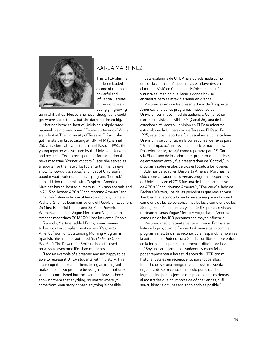

# KARLA MARTÍNEZ

This UTEP alumna has been lauded as one of the most powerful and influential Latinas in the world. As a young girl growing

up in Chihuahua, Mexico, she never thought she could get where she is today, but she dared to dream big.

Martinez is the co-host of Univision's highly rated national live morning show, "*Despierta America.*" While a student at The University of Texas at El Paso, she got her start in broadcasting at KINT–FM (Channel 26), Univision's affiliate station in El Paso. In 1995, the young reporter was scouted by the Univision Network and became a Texas correspondent for the national news magazine "*Primer Impacto.*" Later she served as a reporter for the network's top entertainment news show, "*El Gordo y la Flaca*," and host of Univision's popular youth-oriented lifestyle program, "Control."

In addition to her role with Despierta America, Martinez has co-hosted numerous Univision specials and in 2013 co-hosted ABC's "Good Morning America" and "The View" alongside one of her role models, Barbara Walters. She has been named one of People en Español's 25 Most Beautiful People and 25 Most Powerful Women, and one of Vogue Mexico and Vogue Latin America magazines' 2018 100 Most Influential People.

Recently, Martinez added Emmy award winner to her list of accomplishments when "*Despierta America*" won for Outstanding Morning Program in Spanish. She also has authored "*El Poder de Una Sonrisa*" (The Power of a Smile), a book focused on ways to overcome life's bad moments.

"I am an example of a dreamer and am happy to be able to represent UTEP students with my story. This is a recognition for all of them. Being an immigrant makes me feel so proud to be recognized for not only what I accomplished but the example I leave others; showing them that anything, no matter where you come from, your story or past, anything is possible."

Esta exalumna de UTEP ha sido aclamada como una de las latinas más poderosas e influyentes en el mundo. Vivió en Chihuahua, México de pequeña y nunca se imaginó que llegaría donde hoy se encuentra pero se atrevió a soñar en grande.

Martínez es una de las presentadoras de "Despierta América," uno de los programas matutinos de Univision con mayor nivel de audiencia. Comenzó su carrera televisiva en KINT-FM (Canal 26), una de las estaciones afiliadas a Univision en El Paso mientras estudiaba en la Universidad de Texas en El Paso. En 1995, esta joven reportera fue descubierta por la cadena Univision y se convirtió en la corresponsal de Texas para "Primer Impacto," una revista de noticias nacionales. Posteriormente, trabajó como reportera para "El Gordo y la Flaca," uno de los principales programas de noticias de entretenimiento y fue presentadora de "Control," un programa sobre estilos de vida enfocado a los jóvenes.

Ademas de su rol en Despierta América, Martínez ha sido copresentadora de diversos programas especiales de Univision y en el 2013 fue una de las presentadoras de ABC's "Good Morning America" y "The View" al lado de Barbara Walters, una de las periodistas que mas admira. También fue reconocida por la revista People en Español como una de las 25 personas mas bellas y como una de las 25 mujeres más poderosas y en el 2018, por las revistas norteamericanas Vogue México y Vogue Latin America como una de las 100 personas con mayor influencia.

Martinez añadió recientemente el premio Emmy a su lista de logros, cuando Despierta America ganó como el programa matutino mas reconocido en español. Tambien es la autora de El Poder de una Sonrisa, un libro que se enfoca en la forma de superar los momentos difíciles de la vida.

"Soy un claro ejemplo de soñadora y estoy feliz de poder representar a los estudiantes de UTEP con mi historia. Este es un reconociento para todos ellos. El hecho de ser una inmigrante hace que me sienta orgullosa de ser reconocida no solo por lo que he logrado sino por el ejemplo que puedo dar a los demás, al mostrarles que no importa de dónde vengas, cuál sea tu historia o tu pasado, todo, todo es posible."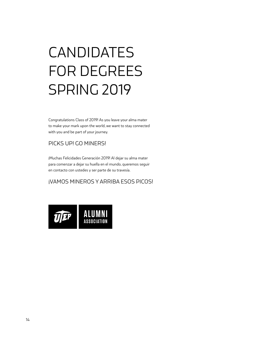# CANDIDATES FOR DEGREES SPRING 2019

Congratulations Class of 2019! As you leave your alma mater to make your mark upon the world, we want to stay connected with you and be part of your journey.

# PICKS UP! GO MINERS!

¡Muchas Felicidades Generación 2019! Al dejar su alma mater para comenzar a dejar su huella en el mundo, queremos seguir en contacto con ustedes y ser parte de su travesía.

# ¡VAMOS MINEROS Y ARRIBA ESOS PICOS!

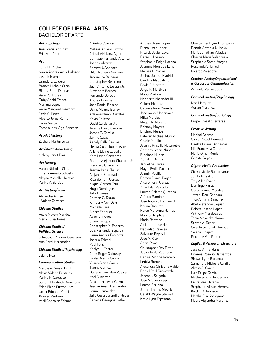# **COLLEGE OF LIBERAL ARTS**

# BACHELOR OF ARTS

#### *Anthropology*

Ana Grecia Antunez Erik Ivan Prieto

#### *Art*

Latrell E. Archer Narda Andrea Avila Delgado Joseph Bueno Brandy L. Caldera Brooke Nichole Crisp Blanca Edith Duenas Karen S. Flores Ruby Anahi Franco Mariana Lopez Kellie Margaret Newport Perla G. Perez Alberto Jorge Romo Dania Vance Pamela Ines Vigo-Sanchez

#### *Art/Art History*

Zachary Martin Silva

# *Art/Media Advertising*

Maleny Janet Diaz

### *Art History*

Aaron Nicholas Clark Tiffany Anne Gluchoski Aleyna Michelle Halatyn Karina A. Salcido

#### *Art History/French*

Alejandra Aimee Valdez Carrasco

#### *Chicano Studies*

Rocio Nayely Mendez Maria Luisa Torres

#### *Chicano Studies/ Political Science*

Johnathan Andrew Cereceres Ana Carol Hernandez

#### *Chicano Studies/Psychology* Jolene Roa

#### *Communication Studies*

Matthew Donald Brink Alexis Valeria Bustillos Karina R. Carrasco Sandra Elizabeth Dominguez Edna Elena Fitzmaurice Javier Eduardo Garcia Xzavier Martinez Vacil Gonzalez Zabanal

#### *Criminal Justice*

Melissa Aguero Orozco Cristal Viridiana Aguirre Santiago Fernando Alcantar Joanna Alvarez Sammy J. Apodaca Hilda Nohemi Arellano Jacqueline Balderas Christopher Bejarano Juan Antonio Beltran Jr. Alexandra Berrios Fernando Borboa Andrea Bouche Jose Daniel Briseno Osiris Maleny Burley Adelene Miran Bustillos Kevin Calleros David Cardenas Jr. Jeremy David Cardona James R. Carrillo Jannie Casas Ashely Belle Casillas Nelida Guadalupe Castor Arlene Elaine Caudillo Kara Leigh Cervantes Ramon Alejandro Chaparro Jr. Francisco Chavarria Jasmin Irene Chavez Alejandra Coronado Ricardo Iram Cortes Miguel Alfredo Cruz Hugo Dominguez Julia Duenas Carmen O. Duran Kimberly Ann Durr Michelle Elias Albert Enriquez Asael Enriquez Shani Enriquez Christopher M. Esparza Luis Fernando Esparza Laura Andrea Espinoza Joshua Falconi Paul Folis Kaelyn L. Foster Cody Roger Galloway Linda Beatriz Garcia Vivian Alexis Garcia Tianny Gomez Darlene Gonzalez-Rosales Itzel Gutierrez Alexander Javier Guzman Jasmin Anahi Hernandez Laura Hernandez Julio Cesar Jaramillo-Reyes Cenaida Georgina Lather II

Andrew Jesus Lopez Diana Lizet Lopez Ricardo Javier Loya Darsy L. Lozano Stephanie Paige Lozano Jasmine Monique Luna Melissa L. Macias Joshua Justiss Madrid Carolina Magdaleno Paola E. Marrero Jorge R. Martinez Mario Martinez Heriberto Melendez III Gilbert Mendoza Gabriela Irani Miranda Jose Javier Monsisvais Milca Morales Megan R. Moreno Brittany Moyers Brittney Munoz Estevan Michael Murillo Giselle Murillo Jesenia Priscilla Navarrette Anthony Jessie Nunez Biridiana Nunez Aprial G. Ochoa Jaqueline Olivas Mayra Eydie Pacheco Jazmin Padilla Ramon Daniel Pagan Alvaro Ivan Pedraza Alan Tyler Peinado Lauren Celeste Quezada Alfredo Ramirez Jose Antonio Ramirez Jr. Karina Ramirez Karen Morayma Ramos Marylou Raphael Mario Renteria Alejandro Jose Reta Natividad Reveles Salvador Reyes III Jose A. Rico Anais Rivas Christopher Rey Rivas Jacob Jorda Rodriguez Denise Yvonne Romero Leticia Romero Alexandra Christine Rubio Daniel Paul Ruskowski Joseph I. Salgado Jose A. Samaniego Lorena Serrano Jared Timothy Sievek Gerald Wayne Stewart Katie Lynn Tepezano

Christopher Ryan Thompson Ronnie Antonio Uribe Jr. Mario Jonathan Valadez Christie Marie Valenzuela Stephanie Sarahi Vargas Rosalinda Villarreal Ricardo Zaragoza

#### *Criminal Justice/Organizational & Corporate Communication*

Amanda Renae Sosa

#### *Criminal Justice/Psychology*

Ivan Marquez Adrian Martinez

*Criminal Justice/Sociology*

Felipe Ernesto Terrazas

#### *Creative Writing*

Marisol Adame Carson Scott Bennett Lizette Liliana Bibriescas Mia Francesca Carreon Mario Omar Muniz Celeste Reyes

#### *Digital Media Production*

Cierra Nicole Bustamante Jon Erik Castro Troy Allen Evans Domingo Farias Oscar Franco-Morales Jezrael Raul Gandara Jose Antonio Gonzalez Abel Alexander Jaquez Robert Joseph Lopez Anthony Mendoza Jr. Tania Alejandra Moran Steven A. Taylor Celeste Simonet Thomas Selena Tinajero Roxanne Van Ruiten

#### *English & American Literature*

Jessica Armendariz Brianna Rosario Barrientos Shawn Lynn Borunda Samantha Michelle Carrillo Alyssa A. Garcia Luis Felipe Garcia Meshelemiah Henderson Laura Mae Heredia Stephanie Allison Herrera Kaitlin M. Johnson Martha Elia Komiyama Mayra Alejandra Martinez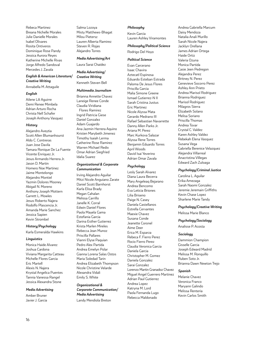Rebeca Martinez Breana Nichelle Morales Julie Danielle Morales Isabel Olivares Rosita Ontiveros Dominique Rose Pandy Jessica Aurora Reyes Katherine Michelle Rivas Jorge Alfredo Sandoval Mercedes J. Zavala

#### *English & American Literature/ Creative Writing*

Annabella M. Attaguile

#### *English*

Ailene Lili Aguirre Demi Renee Mimbela Adrian Arturo Rocha Christa Nell Schafer Joseph Anthony Vasquez

#### *History*

Alejandro Aveytia Scott Allen Blumanhourst Aldo C. Contreras Juan Jose Davila Tamara Ronique De La Fuente Vicente Enriquez Jr. Jesus Armando Herrera Jr. Jason D. Martin Homero Noe Martinez Jaime Montelongo Alejandro Montiel Yazmin Dolores Mooney Abigail N. Moreno Anthony Joseph Mottern Garrett L. Mowles Jesus Roberto Najera Rodolfo Plascencia Jr. Amanda Marie Sanchez Jessica Sapien Kevin Strombel

#### *History/Psychology*

Karla Esmeralda Hawkins

#### *Linguistics*

Monica Haide Alvarez Joshua Cardona Viviana Margarita Catteau Michelle Flores Garcia Eric Martell Alexis N. Najera Krystal Angelica Puentes Tannia Vanessa Rangel Jessica Alexandra Stone

#### *Media Advertising*

Amber Bruner Javier J. Garcia Salma Lozoya Misty Matthews-Bhagat Milou Pietersz Lauren Alberta Ramirez Steven R. Rojas Alejandro Torres

### *Media Advertising/Art*

Laura Sarai Chaidez

*Media Advertising/ Creative Writing* Kenneth Steven Bell

#### *Multimedia Journalism*

Brianna Annette Chavez Laneige Renee Conde Claudia Viridiana Flores Ramirez Ingrid Patricia Giese Daniel Gonzalez Adam Guajardo Ana Jazmin Herrera Aquino Kristen Marybeth Jimenez Timothy Isaiah Lerma Catherine Rose Ramirez Warren Michael Redix Omar Adrian Siegfried Idalia Suarez

#### *Organizational & Corporate Communication*

Irving Alejandro Aguilar Mitzi Nicole Anguiano Zarate Daniel Scott Barnhorst Karla Elisa Brady Megan Cahalan Melissa Carrillo Janelle K. Corral Edwin Daniel Flores Paola Mayela Gama Estefania Garcia Darina Esther Gutierrez Krista Marlen Mireles Rebecca Jean Munoz Priscilla Pallares Vianni Elyse Paquian Pedro Alex Partida Andrea Emelyn Polar Gianna Lorena Salas Ostos Maria Soledad Tarin Andrea Elizabeth Thompson Nicole Christine Velarde Alexandra Vidali Emily S. White

*Organizational & Corporate Communication/ Media Advertising*

Landy Mendiola Breton

#### *Philosophy*

Kevin Garcia Lauren Ashley Viramontes

#### *Philosophy/Political Science*

Rodrigo Del Hoyo

#### *Political Science*

Evan Carcerano Isaac Chavira Aztecatl Espinosa Eduardo Esteban Estrada Paloma De Jesus Flores Priscilla Garcia Malia Simone Greene Ismael Gutierrez-N II Sarah Cristina Justus Eric Martinez Nicole Alyssa Mata Gerardo Medrano III Rafael Sebastian Navarrette Danny Allen Parks Jr. Ariana M. Perez Marc Kurkova Salazar Alyssa Rene Torres Benjamin Eduardo Torres April Woods David Isai Yeverino Adrian Omar Zavala

#### *Psychology*

Lesly Sarah Alvarez Diana Laura Becerra Mary Angeleaq Bejarano Andrea Bencomo Eva Leticia Briones Lilia Briseno Paige N. Casey Daniela Castellanos Estrella Cervantes Maexie Chavez Susana Conde Jeanette Coronel Aime Deer Erica M. Esparza Rebeca F. Fierro Perez Rocio Fierro Perez Claudia Veronica Garcia Daniela Garcia Christopher M. Gomez Daniela Gonzalez Sarai Gonzalez Lorenzo Martin Granadoz Chavez Miguel Angel Guerrero Martinez Adrian Paul Gutierrez Andrea Lopez Katryna M. Lord Paola Fernanda Lugo Rebecca Maldonado

Andrea Gabriella Marcum Daisy Mendoza Natalia Anali Murillo Sarah Nicole Najera Jacklyn Orellana James Adrian Ortega Haide Ortiz Valeria Ozuna Monica Partida Casie Jeen Pedregon Alejandra Perez Britney N. Perez Genevieve Socorro Perez Ashley Ann Prieto Andrea Marisol Rodriguez Brianna Rodriguez Marisol Rodriguez Milagros Sierra Elizabeth Solano Melisa Soriano Priscilla Thomas Andrea Tovar Crystal C. Valdez Karen Ashley Valdez Rebekah Elena Vasquez Susana Vega Gabriella Berenice Velazquez Alejandra Villarreal Anacristina Villegas Edward Zach Zuloaga

#### *Psychology/Criminal Justice*

Carolina L. Aguilar Erika Amezaga Sarah Naomi Gonzalez Jeremie Jeremain Griffiths Kevin Chase Lopez Sharlene Marie Tandy

#### *Psychology/Creative Writing*

Melissa Marie Blanco

#### *Psychology/Sociology*

Analisse P. Acosta

#### *Sociology*

Dammion Champion Gisselle Garcia Joseph Edward Madrid Melissa M. Ronquillo Ruben Soto Jr. Brianna Dawn Newton Trejo

#### *Spanish*

Melanie Chavez Veronica Franco Maryann Galindo Melissa Renteria Kevin Carlos Smith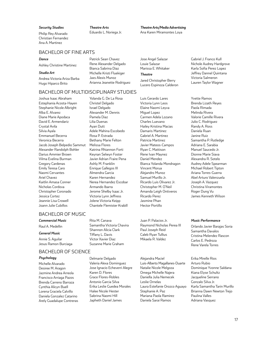#### *Security Studies*

Philip Rey Alvarado Christian Fernandez Ana A. Martinez

*Theatre Arts* Eduardo L. Noriega Jr.

# *Theatre Arts/Media Advertising*

Ana Karen Miramontes Loya

### BACHELOR OF FINE ARTS

#### *Dance*

Ashley Christine Martinez

#### *Studio Art*

Andrea Victoria Ariza Barba Hugo Hiparco Brito

#### Patrick Sean Chavez Rene Alexander Delgado Bianca Sabrina Diaz Michelle Kristi Fluekiger Jaxs Alexis Munoz Arianna Jeanette Rodriguez

Yolanda G. De La Rosa Christel Delgado Israel Delgado Alexander M. Dennis Pamela Diaz Lilia Duenas Ayan Dutt

Adele Mahina Escobedo Rosa P. Estrada Bethany Marie Felton Melissa Flores Katrina Rhiannon Forti Keynan Selwyn Foster Javier Adrian Fraire Pena Ashly M. Franklin Enrique Gallegos III Almendra Garcia Karen Hernandez Nerea Hernandez Escobar Jose Angel Salazar Louie Salazar Marissa E. Whitaker

#### *Theatre*

Jared Christopher Berry Lucero Espinoza Calderon

# BACHELOR OF MULTIDISCIPLINARY STUDIES

Joshua Isaac Abraham Estephania Acosta-Hayen Stephanie Nicole Albright Alba E. Alvarez Diane Marie Apodaca David E. Armendariz Crystal Avila Silvia Ayala Emmanuel Becerra Veronica Becerra Jacob Joseph Belpedio Sammut Alexander Randolph Bohler Darius Ammier Brown Vilma Evelina Burman Gregory Cardenas Emily Teresa Caro Naomi Cervantes Ariel Chavez Kaitlin Amasa Conner Nicholas Cordova Christopher Coronado Jessica Cortez Jeannie Lisa Crowell Joann Julie Cubillos

# BACHELOR OF MUSIC

#### *Commercial Music*

### Raul A. Medellin

#### *General Music*

Annie S. Aguilar Jesus Ramon Burciaga

### BACHELOR OF SCIENCE

#### *Psychology*

Michelle Alvarado Desiree M. Aragon Jazmine Andrea Arreola Francisco Arriaga Pazos Brenda Carreno Barraza Cynthia Alicyn Buell Lorena Graciela Calvillo Daniela Gonzalez Catarino Arely Guadalupe Contreras Rita M. Canava Samantha Victoria Chavira Shannon Alicia Clark Tiffany L. Davis Victor Xavier Diaz Suzanne Marie Graham

Armando Ibarra Jerome Shelby Isaac Jr. Victoria Lynn Jeffress Jolene Victoria Keipp Chantele Flemister Krabill

Delmarie Delgado Valeria Alexa Dominguez Jose Ignacio Echeverri Alegre Karen D. Flores Grace Flores-Robles Antonio Garcia Silva Erika Leslie Guedea Morales Halee Nicole Hester Sabrina Naomi Hill Japheth Daniel James

Luis Gerardo Lares Victoria Lynn Leos Elaine Naomi Leyva Miguel Lopez Carmen Adela Lozano Charles Luevano Hailey Kristina Macias Damaris Martinez Gabriel A. Martinez Patricia Martinez Javier Mateos-Campos Ryan C. Mattison Rene Ivan Maynez Daniel Mendez Bianca Yolanda Mondragon Vincent Morua Alejandro Munoz Samuel Murillo Jr. Ricardo Luis Olivarez Jr. Christopher M. O'Neil Amanda Leigh Ontiveros Ricardo Perez Jasmine Phan Hector Portillo

Juan P. Palacios Jr. Raymond Nicholas Perea III Paul Joseph Reid Caleb Ryan Tullius Mikaela R. Valdez

Alejandra Maciel Luis-Alberto Magallanes-Duarte Natalie Nicole Melgoza Omega Michelle Najera Daniella Julia Nemecek Leslie Ornelas Laura Estefanie Orozco Aguayo Stephanie A. Paz Mariana Paola Ramirez Daniela Sarai Ramos

Gabriel J. Franco Kull Nichole Audrey Hardgrove Karla Sofia Perez Lopez Jeffrey Dannel Quintana Victoria Salmeron Lauren Taylor Wagner

Yvette Ramos Brenda Lizath Reyes Paola Rimada Melinda Rivera Valorie Camille Rivera Julio C. Rodriguez Randy A. Ross Daniela Ruan Janine Ruiz Samantha P. Rutledge Adriana E. Sarabia Manuel Saucedo Jr. Dionne Marie Siava Alexandra R. Sotelo Audrey Adele Spearman Michael Robert Tipton Ariana Torres-Guerra Abel Arturo Valenzuela Joseph A. Vazquez Christina Viramontes Roger Dung Vu James Kenneth Wilson

#### *Music Performance*

Orlando Javier Barajas Soria Samantha Davalos Cristina Melendez Rascon Carlos E. Pedroza Rene Varela Torres

Erika Mirelle Rios Arturo Rubio Dominique Yvonne Saldana Kiana Elyse Schultz Jacqueline Serrano Gonzalo Silva Jr. Karla Samantha Tarin Murillo Brianna Dawn Newton Trejo Paulina Valles Adriana Vasquez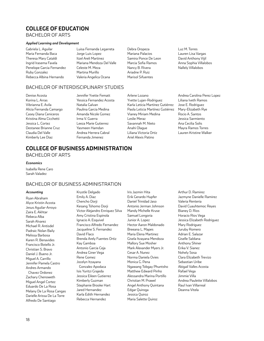# **COLLEGE OF EDUCATION**

# BACHELOR OF ARTS

#### *Applied Learning and Development*

Gabriela L. Aguilar Maria Fernanda Baca Theresa Mary Cataldi Ingrid Irasema Favela Penelope Garcia Fernandez Ruby Gonzalez Rebecca Albina Hernando

Luisa Fernanda Legarreta Jorge Luis Lopez Itzel Areli Martinez Mariana Mendoza Del Valle Celeste M. Meza Martina Murillo Valeria Angelica Ocana

Debra Oropeza Mariana Palacios Samira Ponce De Leon Marcia Sofia Ramos Nancy B. Rivera Ariadne P. Ruiz Marisol Sifuentes

# BACHELOR OF INTERDISCIPLINARY STUDIES

Denise Acosta Korina L. Arras Vibrianna E. Avila Alicia Fernanda Camargo Casey Diana Ceniceros Kristina Alma Cicchetti Jessica L. Cortez Destanee Brianne Cruz Claudia Del Valle Kimberly Lee Diaz

Jennifer Yvette Fematt Yessica Fernandez Acosta Natalia Galvan Paulina Garcia Medina Amanda Nicole Gomez Irma V. Guerra Leeza Marie Gutierrez Yasmeen Hamdan Andrea Herrera Cabral Fernanda Jimenez

Arlene Lozano Yvette Lujan-Rodriguez Karla Leticia Martínez Gutiérrez Paola Leticia Martínez Gutiérrez Vianey Miriam Medina Leslie Meraz Savannah M. Nieto Anahi Olague Liliana Victoria Ortiz Ariel Alexis Patino

Lauren Lisa Vargas David Anthony Vijil Anna Sophia Villalobos Nallely Villalobos

Luz M. Torres

Andrea Carolina Perez Lopez Liliana Iveth Ramos Jose E. Rodriguez Mary-Elizabeth Rye Rocio A. Santos Jessica Sarmiento Ana Cecilia Solis Mayra Ramos Torres Lauren Kristine Walker

# **COLLEGE OF BUSINESS ADMINISTRATION**

BACHELOR OF ARTS

#### *Economics*

Isabella Rene Caro Sarah Valadez

### BACHELOR OF BUSINESS ADMINISTRATION

Krystle Delgado

#### *Accounting*

Ryan Abraham Alyce Kristin Acosta Jesus Aguilar-Arroyo Zaira E. Akhtar Rebeca Alba Sarah Alvarez Michael R. Antisdel Padraic Nolan Baily Melissa Barbosa Karen R. Benavides Francisco Botello Jr. Christian S. Bravo Daniel J. Bueno Jr. Miguel A. Carrillo Jennifer Pamela Castro Andres Armando Chavez Ordonez Zachary Chenoweth Miguel Angel Cortez Eduardo De La Rosa Melany De La Rosa Cangas Darielle Arissa De La Torre Alfredo De Santiago

Emily A. Diaz Chencho Dorji Kesang Tshomo Dorji Victor Alejandro Enriquez Silva Amy Cristina Espinola Ignacio A. Esquivel Francisco Alfredo Fernandez Jacqueline S. Fernandez David Flaco Brenda Arely Fuentes Ortiz Kay Gamboa Antonio Garcia Ceja Andrea Giner Vega Rene Gomez Jocelyn Itzayana Gonzalez Apodaca Isis Yuritzi Grajeda Jessica Eileen Gutierrez Kimberly Guzman Stephanie Brooke Hart Jared Hernandez Karla Edith Hernandez Rebecca Hernandez

Iris Jazmin Hita Erik Gerardo Hupfer Daniel Trinidad Jaso Antonio Jerman Johnson Mandy Michelle Kruse Samuel Longoria Junior A. Lopez Hector Aaron Maldonado Breeana L. Mapes Maria Elena Martinez Gisela Itzayana Mendoza Mallory Sue Mosher Mark Alexander Myers Jr. Cesar A. Nunez Norma Daniela Ovies Monica G. Pena Ngawang Tobgay Phuntsho Matthew Edward Pinho Alessandra Marina Portillo Christian M. Prawel Angel Anthony Quintana Edgar Quiroga Jessica Quiroz Maria Salette Quiroz

Arthur D. Ramirez Jazmyne Danielle Ramirez Valeria Renteria David Cuauhtemoc Reyes Bianey D. Rios Horacio Rios Vega Jessica Elizabeth Rodriguez Mary Rodriguez Juruby Romero Adrian E. Salazar Giselle Saldana Anthony Shiner Erika V. Sianez Nohely Sosa Clara Elizabeth Trevizo Sebastian Uribe Abigail Valles Acosta Rafael Vega Jimmie Villa Andrea Paulette Villalobos Raul Ivan Villarreal Deanna Vitela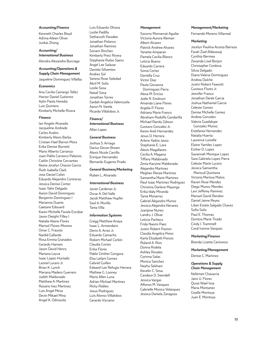#### *Accounting/Finance*

Kenneth Charles Boyd Adrina Aileen Oliver Junkai Zhong

*Accounting/ International Business* Alondra Alexandra Burciaga

#### *Accounting/Operations & Supply Chain Management*

Jaqueline Dominguez Villalba

#### *Economics*

Ana Cecilia Camargo Tellez Hector Daniel Gutierrez Aylin Paola Heredia Luis Quintero Kimberly Michelle Rivera

#### *Finance*

Ian Angelo Alvarado Jacqueline Andrade Carlos Avalos Kimberly Alexis Barba Cristian Hael Barron Mora Erika Denise Burnett Mario Alberto Carranza Juan Pablo Carrasco Palacios Caitlin Christine Cervantes Ileana Jocelyn Chacon Garcia Ruth Isabella Clark Jose Daniel Colon Eduardo Alejandro Contreras Jessica Denise Cortez Isaac Yahir Delgado Aaron David Dominguez Benjamin Dominguez I Marianna Duarte Gaetane Edouard Karen Michelle Favela Escobar Jason Dwight Filley I Natalie Alaine Flores Marisol Flores-Moreno Omar C. Frausto Naidid Gallardo Rosa Emma Granados Gerardo Hansen Jason David Henry Mariana Leyva Isaac Lopez-Hurtado Leonel Lucero Jr. Brian K. Lynch Mariana Madero Guerrero Judith Maldonado Matthew A. Martinez Rosario Inez Martinez Luis Angel Meza Devin Mikael Mina Angel K. Odriozola

Luis Eduardo Olivera Leslie Padilla Sethavuth Paradee Jonathan Polanco Jonathan Ramirez Sonam Rinchen Kimberly Preci Rivera Stephanie Rubio Saenz Angel Lee Salazar Daniela Sifuentes Andres Sol Serena Rose Soledad Abril M. Solis Leslie Sosa Natali Sosa Jonathan Torres Saidah Angelica Valenzuela Aaron N. Varela Ricardo Villalobos Jr.

#### *Finance/*

*International Business* Allan Lopez

#### *General Business*

Joshua S. Arriaga Darius Devon Brown Alexis Nicole Carrillo Enrique Hernandez Bernardo Eugenio Prado

#### *General Business/Marketing*

Ruben L. Alvarado

#### *International Business*

Javier Cardenas Jr. Oscar A. Del Valle Jacob Matthew Hupfer Saul A. Murillo Tania Villa

#### *Information Systems*

Gregg Matthew Anaya Isaac L. Armendariz Denis A. Arras Jr. Eduardo Camacho Robert Michael Corbin Claudia Cortes Erika Flores Pablo Ginther Gongora Elsa Leilani Gomez Gabriel Guillen Edward Lee Refugio Herrera Mathew G. Looney Mario Allen Luna Adrian Michael Martinez Ricky Robles Jesus Rodriguez Luis Alonso Villalobos Gerardo Vizcaino

#### *Management*

Socorro Monserrat Aguilar Victoria Aurora Aleman Albert Alvarez Patrick Andrew Alvarez Yanette Amparan Pamela Cecilia Blanco Leticia Bueno Eduardo Carrera Sonia Cortez Daniella Cruz Victor Diaz Paula Giovanna Dominguez Parra Alexa M. Enciso Jodie R. Enokson Amanda Liane Flores Argelia P. Flores Adriana Marie Franco Abraham Rodolfo Gandarilla Michael Randy Gibson Gustavo Gonzalez Jr. Keren Areli Hernandez Jesus D. Herrera Arlene Yadira Jasso Stephanie E. Lara Alexis Magallanes Cecilia A. Magana Tiffany Maldonado Zenia Karyme Maldonado Alejandro Martinez Meghan Renee Martinez Samantha Marie Martinez Raul Isaac Martinez Rodriguez Christina Darlene Mayorga Erika Idaly Miranda Tania Monarrez Gabriel Alejandro Munoz Jessica Alejandra Nevarez Juanjose Nunez Landry J. Olivar Leticia Pacheco Frida Naomi Paez Justin Robert Paxton Claudia Angelica Perez Karla Elizabeth Ponzio Roland A. Rios Donna Rodela Ashley Rosales Corinna Salas Monica Sanchez Nayha Sekhani Kevelin C. Sosa Candace D. Swindell Jessica Vargas Alfonso M. Vasquez Gabrielle Monica Velasquez Jessica Daniela Zaragoza

#### *Management/Marketing*

Fernando Moreno Villarreal

#### *Marketing*

Jocelyn Paulina Acosta Barraza Farah Ziad Aldasouqi Cynthia Bermea Zevanda Lisel Borjon Christopher Cordova Silvia Delgado Diana Valeria Dominguez Andrea Dulche Justin Robert Fawcett Gustavo Flores Jr. Jennifer Franco Jonathan Derek Garcia Joshua Nathaniel Garcia Celeste Gomez Denise Michelle Gomez Andrea Gonzalez Valeria Guadalupe Gonzalez Munoz Estefania Hernandez Natalia Huerta Laurence Loiselle Elaine Yamiles Lopez Esther D. Lopez Savannah Monique Lopez Sara Gabriela Lopez Parra Celeste Marie Lucero Jessica Samantha Mariscal Quintana Victoria Marissa Matos Raven Rose Mendez Diego Munoz Mendez Levi Jefferey Ramirez Manuel David Rendon Daniel Jaime Reyes Lilian Estela Salgado Chavez Sofia Solis Paul E. Thomas Donitza Marie Tirado Cindy I. Trammell Coral Ivonne Vazquez

#### *Marketing/Finance*

Brenda Lizette Ceniceros

#### *Marketing/Management*

Denise C. Martinez

#### *Operations & Supply Chain Management*

Neferteti Chavarria Jairo U. Flores Qusai Wael Issa Maria Montanez Giselle Montoya Juan E. Montoya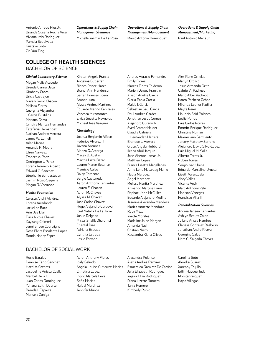Antonio Alfredo Rios Jr. Brianda Susana Rocha Vejar Viviana Irais Rodriguez Pamela Sepulveda Gustavo Soto Zih Yun Ting

*Operations & Supply Chain Management/Finance* Michelle Yazmin De La Rosa *Operations & Supply Chain Management/Management* Marco Antonio Dominguez

*Operations & Supply Chain Management/Marketing* Raul Antonio Mena Jr.

# **COLLEGE OF HEALTH SCIENCES**

# BACHELOR OF SCIENCE

#### *Clinical Laboratory Science*

Megan Melis Acevedo Brenda Carina Baca Kimberly Cabral Bricia Castrejon Nayely Rocio Chacon Melissa Flores Georgina Alejandra Garcia Bustillos Mariana Garza Cynthia Maritza Hernandez Estefania Hernandez Nathan Andrew Herrera James W. Lomeli Ailed Macias Amanda R. Moore Efren Narvaez Frances A. Paez Derrington J. Perez Lorena Romero Alberto Edward C. Sanchez Stephanie Santiesteban Jasmin Rosio Segovia Megan R. Veeranna

#### *Health Promotion*

Celeste Anahi Alvidrez Lorena Arredondo Jackeline Baca Ariel Jae Blair Erica Nicole Chavez Kayzang Chimmi Jennifer Lee Courtright Rosa Elvira Escalante Lopez Ronda Nancy Esper

### BACHELOR OF SOCIAL WORK

Rocio Barajas Dennise Cano-Sanchez Hazel V. Cazares Jacqueline Anissa Cuellar Maribel De la O Juan Carlos Dominguez Yohana Edith Duarte Brenda I. Esparza Marisela Zuniga

Kirsten Angela Franka Angelina Gutierrez Bianca Renee Hatch Brandi Ann Henderson Sarrah Frances Loera Amber Luna Alyssa Andrea Martinez Eduardo Merino Canizales Vanessa Miramontes Errica Suzette Reynolds Michael Jose Vazquez

#### *Kinesiology*

Joshua Benjamin Alfsen Federico Alvarez III Jovana Antunes Alonzo Q. Astorga Macey B. Austin Martha Lizze Bazan Lauren Maree Betance Mauricio Calvo Daisy Cardenas Sergio Castaneda Aaron Anthony Cervantes Lauren E. Chacon Aaron M. Chavez Alyssa M. Chavez Jose Carlos Chavez Hugo Alejandro Cordova Itzel Natalia De La Torre Josue Delgado Miraal Shafik Dharamsi Chantal Diaz Adriana Estrada Cynthia Estrada Leslie Estrada

Andres Horacio Fernandez Emily Flores Marcos Flores Calderon Marion Dewey Franklin Allison Arlette Garcia Gloria Paola Garcia Maida I. Garcia Sebastian Saul Garcia Raul Andres Gardea Jonathan Jesus Gomez Alejandro Gurany Jr. Syed Ammar Haider Claudia Gabriela Hernandez-Herrera Brandon J. Howard Grace Angela Hubbard Ileana Abril Jarquin Jose Vicente Lamas Jr. Matthew Lopez Bianca Lisette Magallanes Anne Leris Macaraeg Manio Nadia Marquez Angel Martinez Melissa Renita Martinez Armando Martinez Ruiz Raphael John McCullen Eduardo Alejandro Medina Jasmine Alexandra Mendoza Mariza Annette Mendoza Ruth Meza Yvette Morales Madeline Jaine Morgan Amanda Nash Cristian Nieto Kassandra Kiana Olivas

Alex Rene Ornelas Marlyn Orozco Jesus Armando Ortiz Gabriel A. Pacheco Mario Alber Pacheco Karen Pacheco Ochoa Miranda Leonor Padilla Mayte Perez Mauricio Said Polanco Leslie Porras Luis Carlos Porras Emmitt Enrique Rodriguez Christina Roman Maximiliano Sarmiento Jeremy Matthew Serrano Alejandro David Silva-Lopez Luis Miguel M. Solis Alberto Torres Jr. Ruben Torres Sergio Ivan Urena Eduardo Marcelino Urueta Lizeth Valenzuela Abey Valles Vicente Veck Marc Anthony Veliz Madison Venegas Francisco Villa II

### *Rehabilitation Sciences*

Andrea Janeen Cervantes Ashlyn Scoutt Colon Juliana Arissa Ramirez Clarissa Gonzalez Rasberry Jonathan Andre Rivera Georgina Salas Nora G. Salgado Chavez

Carolina Soto Alondra Suarez Xarenny Trujillo Edlin Haydee Tuda Monica Vasquez Kayla Villegas

Aaron Anthony Flores Idaly Galindo Angela Louise Gutierrez-Macias Christina Lopez Ingrid Marcela Loya Sofia Macias Rafael Martinez Jennifer Munoz

Alexandra Polanco Alexis Andrea Ramirez Esmeralda Ramirez De Carrion Julia Elizabeth Rodriguez Yajaira Eliza Rodriguez Diana Lizette Romero Tania Romero Kimberly Rubio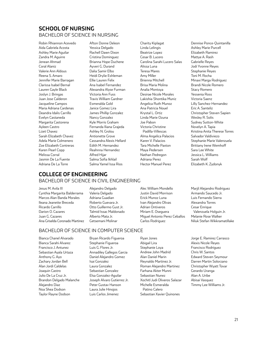# **SCHOOL OF NURSING** BACHELOR OF SCIENCE IN NURSING

Robin Rhiannon Acevedo Aida Gabriela Acosta Ashley Marie Aguilar Zandra M. Aguirre Jenean Ahmad Coral Alaniz Valerie Ann Aldous Reena S. Amaro Jennifer Marie Barragan Clarissa Isabel Bernal Lauren Gayle Black Joslyn J. Bringas Juan Jose Calderon Jacqueline Campos Maria Adriana Cardenas Deandra Idalis Carrillo Evelyn Castaneda Margarita Castorena Ayleen Castro Lizet Chavez Sarah Elizabeth Chavez Adela Marie Colmenero Zoe Elizabeth Contreras Karen Pearl Copp Melissa Corral Jasmin De La Fuente Adriana De La Torre

Afton Donne Deleon Yessica Delgado Rachell Dawn Dixon Cristina Dominguez Brianna Hope Duchene Ayveri G. Durand Dalia Samir Elbo Heidi Drylie Eshleman Ellie Lauren Felix Ana Isabel Fernandez Alexandra Alyse Furman Victoria Ann Fuss Travis William Gardner Esmeralda Gold Janice Gomez Lira James Phillip Gonzalez Nancy Gonzalez Kyle Morris Graham Fernanda Iliana Grajeda Ashley N. Grolou Antionette Grove Cassandra Alexis Hellard Edith M. Hernandez Reahnna Hernandez Alfred Hijar Salma Sofia Ikhlail Salma Yamel Issa Rios

Charity Kiplagat Linda Lelingis Beatrize Lopez Cesar B. Lucero Carolina Sarahi Lucero Salas Alissa Luna Teresa Mares Amy Miller Brienna Mitchell Brisa Maria Molina Analia Montoya Desirae Nicole Morales Lakishia Shontika Muniz Angelica Ruth Munoz Ana Patricia Nouel Krystal L. Ortiz Linda Marie Ozuna Joe Pabon Victoria Christine Padilla-Villescas Alma Angelica Palacios Karen V. Palacios Tara Michelle Paxton Maya Pedersen Nathan Pedregon Adriana Perez Hector Manuel Perez

Dennise Ponce-Quintanilla Ashley Marie Purcell Elizabeth Ramirez Mattye A. Rash Gabrielle Reyes Jodi Yvonne Reyes Stephanie Reyes Toni M. Rocha Minaxi Marga Rodriguez Brandi Nicole Romero Stacy Romero Yessenia Ross Victoria Saenz Lilly Sanchez-Hernandez Eric A. Santeliz Christopher Steven Sapien Wesley R. Solis Sydney Sutton-White Novelyn A. Tapia Kristina Anita Therese Torres Salvador Valdiviezo Stephanie Marie Valenzuela Brittany Irene Wemhoff Sara Lee White Jessica L. Williams Sarah Wolf Elizabeth K. Zydonyk

# **COLLEGE OF ENGINEERING** BACHELOR OF SCIENCE IN CIVIL ENGINEERING

BACHELOR OF SCIENCE IN COMPUTER SCIENCE

Jesus M. Avila III Cynthia Margarita Balderrama Marcos Alan Banda Morales Ileana Jeanette Breceda Ricardo Carrillo Darion O. Cazares Juan G. Cazares Ana Griselda Coronado Martinez Alejandro Delgado Valeria Delgado Adriana Guadian Roberto Guevara Jr. Otto Guillermo Gust Jr. Talmid Issac Maldonado Alberto Mata Jr. Getsemani Molinar

Alec William Mondello Justin David Morrison Erick Munoz Luna Ivan Alejandro Olivas Adrian Ontiveros Miriam E. Oseguera Miguel Antonio Perez Ceballos Carlos Rodriguez

#### Marjil Alejandro Rodriguez Armando Saucedo Jr. Luis Fernando Sierra Alexandra Torres Cesar Enrique Valenzuela Holguin Jr. Melanie Rose Walker Niluk Stefan Wikkramatillake

Bianca Chanel Alvarado Bianca Sarahi Alvarez Francisco J. Antunez Sebastian Ayala Urtaza Anthony G. Ayo Zachary Jordan Bell Alan Jordi Caldelas Joaquin Castro Julio De La Cruz Jr. Brandon Delgado Malanche Alejandro Diaz Noa Shea Dodson Taylor Rayne Dodson

Bryan Ricardo Figueroa Stephanie Figueroa Luis G. Flores Jr. Annadiley Gallegos Garcia Daniel Alejandro Gomez Isai Gonzalez Laura Gonzalez Sebastian Gonzalez Elsa Gonzalez-Aguilar Joseph Alvaro Gutierrez Jr. Peter Gustav Hanson Laura Julie Hinojos Luis Carlos Jimenez

Ryan Jones Abigail Lira Stephanie Loya Andrew John Madrid Alan Daniel Marin Reynaldo Martinez Jr. Roman Alejandro Martinez Farhana Akter Munni Sebastian Nunez Xochitl Judi Oliveros Salazar Michelle Esmeralda Patino Calero Sebastian Xavier Quinones

Jorge E. Ramirez Carrasco Alexis Nicole Reyes Francisco Rodriguez Chris W. Santos Edward Steven Seymour Darren Martin Solorzano Christopher Wyatt Tovar Gerardo Uranga Alan A. Uribe Abisai Vasquez

Timmy Lee Williams Jr.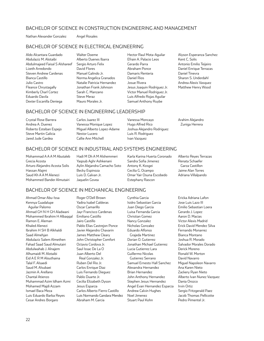# BACHELOR OF SCIENCE IN CONSTRUCTION ENGINEERING AND MANAGEMENT

Nathan Alexander Gonzalez Angel Rosales

# BACHELOR OF SCIENCE IN ELECTRICAL ENGINEERING

Aldo Alcantara Guardado Abdulaziz M. Alotaibi Abdulmajeed Faisal S Alshareef Lizeth Arredondo Steven Andrew Cardenas Bianca Castillo Julio Castro Fleance Chrystagally Kimberly Charl Cortez Eduardo Davila Dexter Escanilla Deniega

Walter Doeme Alberto Duenes Ibarra Sergio Arturo Felix David Flores Manuel Galindo Jr. Norma Angelica Granados Natalie Patricia Hernandez Jonathan Frank Johnson Sarah C. Manzano Steve Meraz Mauro Morales Jr.

Hector Raul Mota-Aguilar Efrain A. Palacio Leos Gerardo Parra Abraham Ponce Damaris Renteria Daniel Rios Josue Rivera Jesus Joaquin Rodriguez Jr. Victor Manuel Rodriguez Jr. Luis Alfredo Rojas Aguilar Samuel Anthony Ruybe

Alyson Esperanza Sanchez Kent C. Solis Antonio Emilio Teijeiro Daniel Enrique Terrazas Daniel Tinevra Sharon S. Underdahl Andrea Alexis Vasquez Matthew Henry Wood

# BACHELOR OF SCIENCE IN ENGINEERING LEADERSHIP

Crystal Rose Barrera Andrea A. Duenez Roberto Esteban Espejo Steve Martin Galicia Jared Jude Gardea

Carlos Juarez III Vanessa Monique Lopez Miguel Alberto Lopez-Adame Nestor Lucero Callie Ann Mitchell

Vanessa Moncayo Hugo Alfred Rico Joshua Alejandro Rodriguez Luis R. Rodriguez Ivan Vazquez

#### Arahim Alejandro Zuniga Herrera

# BACHELOR OF SCIENCE IN INDUSTRIAL AND SYSTEMS ENGINEERING

Mohammad A A A M Abutaleb Grecia Acosta Arturo Alejandro Acosta Solis Hassan Alajmi Saud Kh A A M Alenezi Mohammed Bander Almutairi

Hadi M Dh A M Alshemmeri Yaqoub Aghr Ashkenani Aylin Alejandra Camacho Soto Becky Espinoza Luis D. Galvan Jr. Jaquelin Govea

Karla Karina Huerta Coronado Sandra Sofia Jimenez Antony K. Kosgei Cecilia G. Ocampo Omar Yair Osuna Escobedo Estephany Rascon

Alberto Reyes Terrazas Renata Schaefer Garza Castillon Jaime Alan Torres Adriana Villalpando

Ericka Adriana Lafon

# BACHELOR OF SCIENCE IN MECHANICAL ENGINEERING

Ahmad Omar Abu-Issa Kennya Guadalupe Aguilar Palomo Ahmad GH N H GH Aladwani Mohammed Ibrahim H Albaqqal Ramon E. Aleman Khaled Alenezi Ibrahim H SH B Alkhaldi Saad Almehjan Abdulaziz Salem Almethen Fahad Saad Saud Almutairi Abdulwahab J. Alnajem Alhumaidi M. Alotaibi Eid A E R M Alouthaina Talal F. Alsaedi Saud M. Alsubaei Jazmin A. Arellano Chantal Atienzo Muhammad Azim Idham Azmi Mohamed Majdi Azzam Ismael Baca Meza Luis Eduardo Barba Reyes Cesar Andres Borgaro

Roger O'Dell Brown Yadira Isabel Calderas Oscar Camarillo Jayr Francisco Cardenas Emiliano Castillo Jairo Castillo Pablo Elias Castrejon Ponce Javier Alejandro Chavarin James Matthew Cleary John Christopher Comfort Octavio Cordova Jr. Saul Issac De La O Juan Alberto Del Real Gonzalez Jr. Ruben Del Rio Jr. Carlos Enrique Diaz Luis Fernando Dieguez Pablo Duarte Jr. Cecilia Elizabeth Dyson Jesus Esparza Carlos Alberto Fierro Castillo Luis Normando Gandara Mendez Abraham M. Garcia

Cynthia Garcia Isidro Sebastian Garcia Juan Diego Garcia Luisa Fernanda Garcia Christian Gomez Nancy Gonzalez Nicholas Gonzalez Eduardo Alfonso Grajeda Martinez Dorian O. Gutierrez Jonathan Michael Gutierrez Lucia Gutierrez Lara Guillermo Nicolas Gutierrez Serrano Samuel Ernesto Hall Sanchez Alexandra Hernandez Brian Hernandez John Anthony Hernandez Stephen Jesus Hernandez Angel Evan Hernandez Esparza Andrew Calvin Hughes Noel Jimenez Stuart Paul Kohn

Jose Luis Lazo III Emilio Sebastian Loera Gerardo J. Lopez Aaron D. Macias Victor Alexis Madrid Erick David Mendez Silva Fernando Monarrez Bianca Montano Joshua R. Morado Salvador Morales Dorado Derick Moreno Ronald W. Morton David Navarro Miguel Napoleon Navarro Ana Karen Nieto Zackery Ryan Nieto Alberto Ivan Nunez Vazquez Dania Orozco Irvin Ortiz Sergio Fritzgerald Paez Jacob Thomas Pellicotte Pedro Pimentel Jr.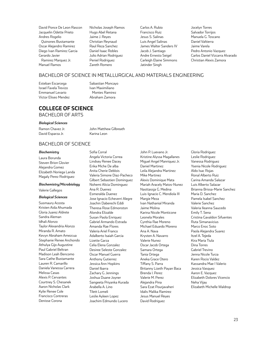David Ponce De Leon Rascon Jacquelin Odette Prieto Andres Rogelio Quinones Bustamante Oscar Alejandro Ramirez Diego Ivan Ramirez Garcia Gerardo Javier Ramirez Marquez Jr. Manuel Ramos

Nicholas Joseph Ramos Hugo Abel Retana Jaime J. Reyes Christian Reynaud Raul Reza Sanchez Daniel Isaac Robles Julio Adrian Rodriguez Peniel Rodriguez Zareth Romero

Carlos A. Rubio Francisco Ruiz Jesus S. Salinas Luis Angel Salinas James Walter Sanders IV Jacob J. Santiago Andre Ernesto Seigel Carleigh Elaine Simmons Jatinder Singh

Jocelyn Torres Salvador Torrijos Manuela G. Toscano Daniel Valtierra Jaime Varela Pedro Antonio Vazquez Carlos Daniel Vizcarra Alvarado Christian Alexis Zamora

### BACHELOR OF SCIENCE IN METALLURGICAL AND MATERIALS ENGINEERING

Esteban Escarcega Israel Favela Trevizo Emmanuel Levario Victor Eliseo Mendez Sabastian Moncayo Ivan Maximiliano Montes Ramirez Abraham Zamora

### **COLLEGE OF SCIENCE** BACHELOR OF ARTS

#### *Biological Sciences*

Ramon Chavez Jr. David Esparza Jr.

John Matthew Gilbreath Karina Leon

# BACHELOR OF SCIENCE

#### *Biochemistry*

Laura Borunda Steven Brion Glovier Alejandra Gomez Elizabeth Noriega Landa Magaly Perez Rodriguez

# *Biochemistry/Microbiology*

Valerie Gallegos

#### *Biological Sciences*

Susmaury Acosta Kristen Aida Ahumada Gloria Juarez Aldrete Sandra Aleman Idhali Alonzo Taylor Alexandria Alonzo Miranda R. Amato Kevyn Abraham Amezcua Stephanie Renee Anchondo Athulya Gijo Augustine Paul Gabriel Beltran Madison Leah Bencomo Sara Cathe Bustamante Lauren R. Camarillo Daniela Vanessa Carrera Melissa Casas Alexis P. Cervantes Courtney S. Chesanek Aaron Nicholas Clark Kylie Renee Cole Francisco Contreras Denisse Corona

Sofia Corral Angela Victoria Correa Lindsey Renee Dacey Erika Miche De alba Anita Cherie Deblois Valeria Simone Diaz-Pacheco Gilbert Sebastien Dominguez Nohemi Alicia Dominguez Ana R. Duenez Esmeralda Duenez Jose Ignacio Echeverri Alegre Joachin Daberechi Eddi Theresa Rose Edmonston Alondra Elizalde Susan Paola Enriquez Gabriel Armando Estrada Amanda Rae Flores Valeria Ariel Franco Adalberto Isaiah Garcia Lizette Garza Celia Elena Gonzalez Desiree Seleste Gonzalez Oscar Manuel Guerra Anthony Gutierrez Jessica Ann Hopkins Daniel Ibarra Zachary G. Jennings Joshua Duane Joyner Sangeeta Priyanka Kurada Arabella A. Lino Tilett Lomeli Leslie Ayleen Lopez Joachim Edmundo Lucero

John P. Luevano Jr. Kristine Alyssa Magallanes Miguel Angel Manriquez Jr. Daniel Martinez Leila Alejandra Martinez Mike Martinez Alexis Dominique Mata Mariah Aracely Matos-Nunez Nasttassja G. Medina Luis-Ignacio C. Mendiola III Margie Meza Ivan Nathanial Miranda Jaime Molina Karina Nicole Monticone Leonela Morales Cynthia Rae Moreno Michael Eduardo Moreno Ana A. Nava Krysten A. Navarro Valerie Nunez Oscar Jacob Ortega Samara Ortega Tania Ortega Aneka Grace Otero Tiffany S. Parra Britanny Lizeth Payan Baca Brenda I. Perez Valerie M. Perez Alejandra Pina Sara Ezat Pourjavaheri Idalis Malika Ramirez Jesus Manuel Reyes David Rodriguez

Gloria Rodriguez Leslie Rodriguez Vanessa Rodriguez Ysenia Nicole Rodriguez Aldo Isac Rojas Ronal Alberto Ruiz Carina Amanda Salazar Luis Alberto Salazar Brianna Brissa-Marie Sanchez Maria D. Sanchez Pamela Isabel Sanchez Valerie Sanchez Valeria Ileanna Saucedo Emily T. Sena Cristina Gavaldon Sifuentes Ruta Simanavicius Marco Enoc Soto Paola Alejandra Suarez Itzel A. Tejeda Kira Maria Tiula Dina Torres Gabriel Trevino Jenna Nicole Turza Karen Rocio Valdez Kassandra Mae I Valerio Jessica Vasquez Aaron E. Vazquez Elizabeth Dolores Vicencio Neha Vijay Elizabeth Michelle Waldrop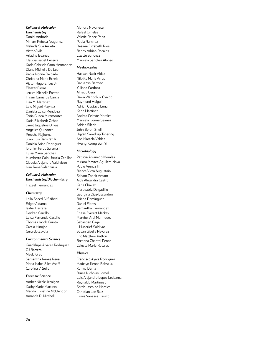#### *Cellular & Molecular Biochemistry*

Daniel Andrade Miriam Rebeca Aragonez Melinda Sue Arrieta Victor Avila Ariadne Beanes Claudia Isabel Becerra Karla Gabriela Cano Hernandez Diana Michelle De Leon Paola Ivonne Delgado Christina Marie Eckels Victor Hugo Erives Jr. Eleazar Fierro Jerrica Michelle Foster Hiram Gameros Garcia Lisa M. Martinez Luis Miguel Maynez Daniela Luisa Mendoza Tania Guada Miramontes Katia Elizabeth Ochoa Janet Jaqueline Olivas Angelica Quinones Preetha Rajkumar Juan Luis Ramirez Jr. Daniela Arian Rodriguez Ibrahim Feras Salama II Luisa Maria Sanchez Humberto Galo Urrutia Cedillos Claudia Alejandra Valdiviezo Ivan Rene Valenzuela

#### *Cellular & Molecular Biochemistry/Biochemistry*

Hazael Hernandez

#### *Chemistry*

Laila Saeed Al Saihati Edgar Aldama Isabel Barraza Deidrah Carrillo Luisa Fernanda Castillo Thomas Jacob Guinto Grecia Hinojos Gerardo Zavala

#### *Environmental Science*

Guadalupe Alvarez Rodriguez OJ Barrera Meela Grey Samantha Renee Pena Maria Isabel Siles Asaff Carolina V. Solis

#### *Forensic Science*

Amber Nicole Jernigan Kathy Marie Martinez Magda Christine McClendon Amanda R. Mitchell

Alondra Navarrete Rafael Ornelas Valerie Renee Papa Paola Ramirez Desiree Elizabeth Rios Benny Adrian Rosales Lizette Sanchez Marisela Sanchez Alonso

#### *Mathematics*

Hassan Nazir Aldaz Nikkita Marie Arras Dania Yin Barroso Yuliana Cardoza Alfredo Cera Dawa Wangchuk Gyalpo Raymond Holguin Adrian Gustavo Luna Karla Martinez Andrea Celeste Morales Marisela Ivonne Seanez Adrian Silerio John Byron Snell Ugyen Samdrup Tshering Ana Marcela Valdez Hyung Kyung Suh Yi

#### *Microbiology*

Patricia Ablanedo Morales Miriam Maytee Aguilera Nava Pablo Arenaz III Bianca Victo Augustain Seham Zoheir Azzam Aida Alejandra Castro Karla Chavez Florbeatriz Delgadillo Georgina Diaz-Escandon Briana Dominguez Daniel Flores Samantha Hernandez Chase Everett Mackey Marybel Arai Manriquez Sebastian Gage Muncrief-Saldivar Susan Giselle Nevarez Eric Matthew Patton Breanna Chantal Pence Celeste Marie Rosales

#### *Physics*

Francisco Ayala Rodriguez Madelyn Kenna Babst Jr. Karma Dema Bruce Nicholas Lomeli Luis Alejandro Lopez Ledezma Reynaldo Martinez Jr. Sarah Jasmine Morales Christian Lee Saiz Lluvia Vanessa Trevizo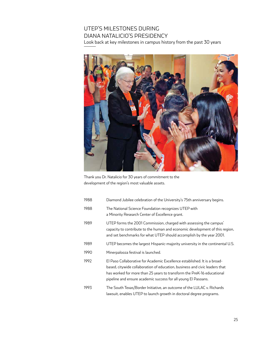# UTEP'S MILESTONES DURING DIANA NATALICIO'S PRESIDENCY

Look back at key milestones in campus history from the past 30 years



Thank you Dr. Natalicio for 30 years of commitment to the development of the region's most valuable assets.

| 1988 | Diamond Jubilee celebration of the University's 75th anniversary begins.                                                                                                                                                                                                                             |
|------|------------------------------------------------------------------------------------------------------------------------------------------------------------------------------------------------------------------------------------------------------------------------------------------------------|
| 1988 | The National Science Foundation recognizes UTEP with<br>a Minority Research Center of Excellence grant.                                                                                                                                                                                              |
| 1989 | UTEP forms the 2001 Commission, charged with assessing the campus'<br>capacity to contribute to the human and economic development of this region,<br>and set benchmarks for what UTEP should accomplish by the year 2001.                                                                           |
| 1989 | UTEP becomes the largest Hispanic-majority university in the continental U.S.                                                                                                                                                                                                                        |
| 1990 | Minerpalooza festival is launched.                                                                                                                                                                                                                                                                   |
| 1992 | El Paso Collaborative for Academic Excellence established. It is a broad-<br>based, citywide collaboration of education, business and civic leaders that<br>has worked for more than 25 years to transform the PreK-16 educational<br>pipeline and ensure academic success for all young El Pasoans. |
| 1993 | The South Texas/Border Initiative, an outcome of the LULAC v. Richards<br>lawsuit, enables UTEP to launch growth in doctoral degree programs.                                                                                                                                                        |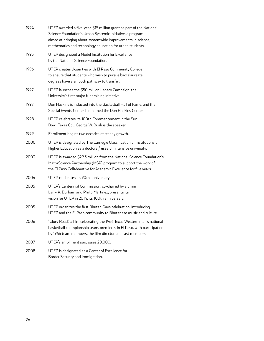| 1994 | UTEP awarded a five-year, \$15 million grant as part of the National<br>Science Foundation's Urban Systemic Initiative, a program<br>aimed at bringing about systemwide improvements in science,<br>mathematics and technology education for urban students. |
|------|--------------------------------------------------------------------------------------------------------------------------------------------------------------------------------------------------------------------------------------------------------------|
| 1995 | UTEP designated a Model Institution for Excellence<br>by the National Science Foundation.                                                                                                                                                                    |
| 1996 | UTEP creates closer ties with El Paso Community College<br>to ensure that students who wish to pursue baccalaureate<br>degrees have a smooth pathway to transfer.                                                                                            |
| 1997 | UTEP launches the \$50 million Legacy Campaign, the<br>University's first major fundraising initiative.                                                                                                                                                      |
| 1997 | Don Haskins is inducted into the Basketball Hall of Fame, and the<br>Special Events Center is renamed the Don Haskins Center.                                                                                                                                |
| 1998 | UTEP celebrates its 100th Commencement in the Sun<br>Bowl. Texas Gov. George W. Bush is the speaker.                                                                                                                                                         |
| 1999 | Enrollment begins two decades of steady growth.                                                                                                                                                                                                              |
| 2000 | UTEP is designated by The Carnegie Classification of Institutions of<br>Higher Education as a doctoral/research intensive university.                                                                                                                        |
| 2003 | UTEP is awarded \$29.3 million from the National Science Foundation's<br>Math/Science Partnership (MSP) program to support the work of<br>the El Paso Collaborative for Academic Excellence for five years.                                                  |
| 2004 | UTEP celebrates its 90th anniversary.                                                                                                                                                                                                                        |
| 2005 | UTEP's Centennial Commission, co-chaired by alumni<br>Larry K. Durham and Philip Martinez, presents its<br>vision for UTEP in 2014, its 100th anniversary.                                                                                                   |
| 2005 | UTEP organizes the first Bhutan Days celebration, introducing<br>UTEP and the El Paso community to Bhutanese music and culture.                                                                                                                              |
| 2006 | "Glory Road," a film celebrating the 1966 Texas Western men's national<br>basketball championship team, premieres in El Paso, with participation<br>by 1966 team members, the film director and cast members.                                                |
| 2007 | UTEP's enrollment surpasses 20,000.                                                                                                                                                                                                                          |
| 2008 | UTEP is designated as a Center of Excellence for<br>Border Security and Immigration.                                                                                                                                                                         |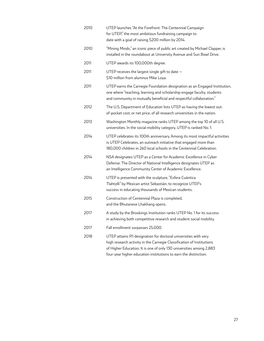| 2010 | UTEP launches "At the Forefront: The Centennial Campaign<br>for UTEP," the most ambitious fundraising campaign to<br>date with a goal of raising \$200 million by 2014.                                                                                                             |
|------|-------------------------------------------------------------------------------------------------------------------------------------------------------------------------------------------------------------------------------------------------------------------------------------|
| 2010 | "Mining Minds," an iconic piece of public art created by Michael Clapper, is<br>installed in the roundabout at University Avenue and Sun Bowl Drive.                                                                                                                                |
| 2011 | UTEP awards its 100,000th degree.                                                                                                                                                                                                                                                   |
| 2011 | UTEP receives the largest single gift to date $-$<br>\$10 million from alumnus Mike Loya.                                                                                                                                                                                           |
| 2011 | UTEP earns the Carnegie Foundation designation as an Engaged Institution,<br>one where "teaching, learning and scholarship engage faculty, students<br>and community in mutually beneficial and respectful collaboration."                                                          |
| 2012 | The U.S. Department of Education lists UTEP as having the lowest out-<br>of-pocket cost, or net price, of all research universities in the nation.                                                                                                                                  |
| 2013 | Washington Monthly magazine ranks UTEP among the top 10 of all U.S.<br>universities. In the social mobility category, UTEP is ranked No. 1.                                                                                                                                         |
| 2014 | UTEP celebrates its 100th anniversary. Among its most impactful activities<br>is UTEP Celebrates, an outreach initiative that engaged more than<br>180,000 children in 260 local schools in the Centennial Celebration.                                                             |
| 2014 | NSA designates UTEP as a Center for Academic Excellence in Cyber<br>Defense. The Director of National Intelligence designates UTEP as<br>an Intelligence Community Center of Academic Excellence.                                                                                   |
| 2014 | UTEP is presented with the sculpture, "Esfera Cuántica<br>Tlahtolli" by Mexican artist Sebastián, to recognize UTEP's<br>success in educating thousands of Mexican students.                                                                                                        |
| 2015 | Construction of Centennial Plaza is completed,<br>and the Bhutanese Lhakhang opens.                                                                                                                                                                                                 |
| 2017 | A study by the Brookings Institution ranks UTEP No. 1 for its success<br>in achieving both competitive research and student social mobility.                                                                                                                                        |
| 2017 | Fall enrollment surpasses 25,000.                                                                                                                                                                                                                                                   |
| 2018 | UTEP attains R1 designation for doctoral universities with very<br>high research activity in the Carnegie Classification of Institutions<br>of Higher Education. It is one of only 130 universities among 2,883<br>four-year higher education institutions to earn the distinction. |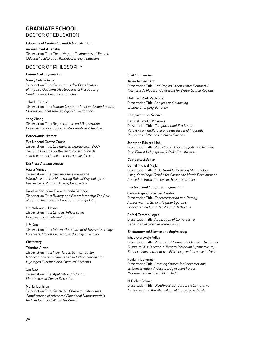# **GRADUATE SCHOOL** DOCTOR OF EDUCATION

*Educational Leadership and Administration*

Karina Chantal Canaba Dissertation Title: *Theorizing the Testimonios of Tenured Chicana Faculty at a Hispanic-Serving Institution*

# DOCTOR OF PHILOSOPHY

#### *Biomedical Engineering*

Nancy Selene Avila Dissertation Title: *Computer-aided Classification of Impulse Oscillometric Measures of Respiratory Small Airways Function in Children*

# John D. Ciubuc

Dissertation Title: *Raman Computational and Experimental Studies on Label-free Biological Investigations*

#### Yang Zhang

Dissertation Title: *Segmentation and Registration Based Automatic Cancer Proton Treatment Analyst*

#### *Borderlands History*

Eva Nohemi Orozco Garcia Dissertation Title: *Las mujeres sinarquistas (1937- 1962): Las manos ocultas en la construcción del sentimiento nacionalista mexicano de derecha*

#### *Business Administration*

#### Rawia Ahmed

Dissertation Title: *Spurring Tensions at the Workplace and the Moderating Role of Psychological Resilience: A Paradox Theory Perspective*

#### Randika Sanjeewa Eramudugoda Gamage

Dissertation Title: *Bribery and Export Intensity: The Role of Formal Institutional Constraint Susceptibility*

Md Mahmudul Hasan Dissertation Title: *Lenders' Influence on Borrower Firms' Internal Controls*

#### Lifei Xue

Dissertation Title: *Information Content of Revised Earnings Forecasts, Market Learning, and Analyst Behavior*

#### *Chemistry*

#### Tahmina Akter

Dissertation Title: *New Porous Semiconductor Nanocomposite as Dye Sensitized Photocatalyst for Hydrogen Evolution and Chemical Sorbents*

Qin Gao Dissertation Title: *Application of Urinary Metabolites in Cancer Detection*

#### Md Tariqul Islam

Dissertation Title: *Synthesis, Characterization, and Aapplications of Advanced Functional Nanomaterials for Catalysts and Water Treatment* 

#### *Civil Engineering*

Tallen Ashley Capt Dissertation Title: *Arid Region Urban Water Demand: A Mechanistic Model and Forecast for Water Scarce Regions*

Matthew Mark Vechione

Dissertation Title: *Analysis and Modeling of Lane Changing Behavior*

#### *Computational Science*

Bethuel Omutiti Khamala Dissertation Title: *Computational Studies on Perovskite-Metallofullerene Interface and Magnetic Properties of Mn-based Mixed Olivines*

#### Jonathon Edward Mohl

Dissertation Title: *Prediction of O-glycosylation in Proteins for different Polypeptide GalNAc-Transferases*

#### *Computer Science*

#### Daniel Michael Mejia Dissertation Title: *A Bottom-Up Modeling Methodology using Knowledge Graphs for Composite Metric Development*

*Applied to Traffic Crashes in the State of Texas*

### *Electrical and Computer Engineering*

Carlos Alejandro Garcia Rosales Dissertation Title: *Characterization and Quality Assessment of Smart Polymer Systems Fabricated by Using 3D Printing Technique*

### Rafael Gerardo Lopez

Dissertation Title: *Application of Compressive Sensing to Microwave Tomography*

#### *Environmental Science and Engineering*

#### Ishaq Olarewaju Adisa

Dissertation Title: *Potential of Nanoscale Elements to Control Fusarium Wilt Disease in Tomato (Solanum Lycopersicum), Enhance Macronutrient use Efficiency, and Increase its Yield*

#### Paulami Banerjee

Dissertation Title: *Creating Spaces for Conversations on Conservation: A Case Study of Joint Forest Management in East Sikkim, India*

#### M Esther Salinas

Dissertation Title: *Ultrafine Black Carbon: A Cumulative Assessment on the Physiology of Lung-derived Cells*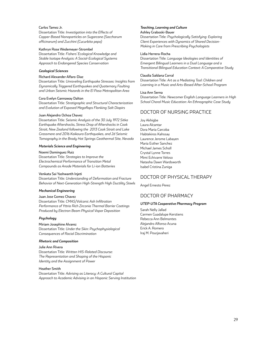#### Carlos Tamez Jr.

Dissertation Title: *Investigation into the Effects of Copper-Based Nanoparticles on Sugarcane (Saccharum officinarum) and Zucchini (Cucurbita pepo)*

#### Kathryn Rose Wedemeyer-Strombel

Dissertation Title: *Fishers' Ecological Knowledge and Stable Isotope Analysis: A Social-Ecological Systems Approach to Endangered Species Conservation*

#### *Geological Sciences*

#### Richard Alexander Alfaro-Diaz

Dissertation Title: *Unraveling Earthquake Stresses: Insights from Dynamically Triggered Earthquakes and Quaternary Faulting and Urban Seismic Hazards in the El Paso Metropolitan Area*

#### Cora Evelyn Gannaway Dalton

Dissertation Title: *Stratigraphic and Structural Characterization and Evolution of Exposed Megaflaps Flanking Salt Diapirs*

#### Juan Alejandro Ochoa Chavez

Dissertation Title: *Seismic Analysis of the 30 July 1972 Sitka Earthquake Aftershocks, Stress Drop of Aftershocks in Cook Strait, New Zealand following the 2013 Cook Strait and Lake Grassmere and 2016 Kaikoura Earthquakes, and 2d Seismic Tomography in the Brady Hot Springs Geothermal Site, Nevada*

#### *Materials Science and Engineering*

#### Noemi Dominguez Ruiz

Dissertation Title: *Strategies to Improve the Electrochemical Performance of Transition Metal Compounds as Anode Materials for Li-ion Batteries*

#### Venkata Sai Yashwanth Injeti

Dissertation Title: *Understanding of Deformation and Fracture Behavior of Next-Generation High-Strength High Ductility Steels*

#### *Mechanical Engineering*

#### Juan Jose Gomez Chavez

Dissertation Title: *CMAS/Volcanic Ash Infiltration Performance of Yttria Rich Zirconia Thermal Barrier Coatings Produced by Electron Beam Physical Vapor Deposition*

#### *Psychology*

#### Miriam Josephine Alvarez

Dissertation Title: *Under the Skin: Psychophysiological Consequences of Racial Discrimination*

#### *Rhetoric and Composition*

#### Julie Ann Rivera

Dissertation Title: *Written HIS-Related Discourse: The Representation and Shaping of the Hispanic Identity and the Assignment of Power*

#### Heather Smith

Dissertation Title: *Advising as Literacy: A Cultural Capital Approach to Academic Advising in an Hispanic Serving Institution*

### *Teaching, Learning and Culture*

#### Ashley Graboski-Bauer

Dissertation Title: *Psychologically Satisfying: Exploring Client Experiences with Dynamics of Shared Decision-Making in Care from Prescribing Psychologists*

#### Lidia Herrera-Rocha

Dissertation Title: *Language Ideologies and Identities of Emergent Bilingual Learners in a Dual Language and a Transitional Bilingual Education Context: A Comparative Study*

#### Claudia Saldana Corral

Dissertation Title: *Art as a Mediating Tool: Children and Learning in a Music and Arts-Based After-School Program*

#### Lisa Ann Serna

Dissertation Title: *Newcomer English Language Learners in High School Choral Music Education: An Ethnographic Case Study*

### DOCTOR OF NURSING PRACTICE

Joy Akhigbe Laura Alcantar Dora Maria Carcoba Habtekiros Kahssay Laurence Jerome Labayen Maria Esther Sanchez Michael James Scholl Crystal Lynne Torres Mimi Echivarre Veloso Natasha Dawn Wardsworth Isabel Cristina Zuniga

### DOCTOR OF PHYSICAL THERAPY

Angel Ernesto Perez

### DOCTOR OF PHARMACY

#### *UTEP-UTA Cooperative Pharmacy Program*

Sarah Nelly Jallad Carmen Guadalupe Kerstiens Rebecca Ann Belmontes Alejandro Alfonso Acuna Erick A. Romero Iraj M. Pourjavaheri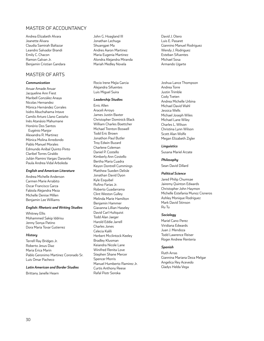# MASTER OF ACCOUNTANCY

Andrea Elizabeth Alvara Jeanette Alvara Claudia Samirah Baltazar Leandro Salvador Brandi Emily C. Chacon Ramon Galvan Jr. Benjamin Cristian Gandara

# MASTER OF ARTS

#### *Communication*

Anuar Amade Anuar Jacqueline Ann Fiest Maribell González Anaya Nicolas Hernandez Mónica Hernández Corrales Isidro Abuchahama Intave Camilo Arturo Llano Castaño Inês Atanásio Mahumane Honório Dos Santos Eugénio Manjor Alexandra R. Martinez Mónica Molina Arredondo Pablo Manuel Morales Edmundo Aníbal Quinto Pinto Claribel Torres Giraldo Julián Ramiro Vargas Daraviña Paula Andrea Vidal Arboleda

#### *English and American Literature*

Andrea Michelle Anderson Carmen Marie Arrabito Oscar Francisco Garza Fabiola Alejandra Meza Michelle Denise Millen Benjamin Lee Williams

#### *English: Rhetoric and Writing Studies*

Whitney Ellis Mohammed Sakip Iddrisu Jenny Sonya Patino Dora Maria Tovar Gutierrez

#### *History*

Terrell Ray Bridges Jr. Roberto Jesus Diaz Maria Erica Marin Pablo Geronimo Martinez Coronado Sr. Luis Omar Pacheco

#### *Latin American and Border Studies*

Brittany Janelle Hearn

John G. Hoagland III Jonathan Lechuga Shuangpei Ma Andres Aaron Martinez Maria Eugenia Martinez Alondra Alejandra Miranda Mariah Medley Novela

Rocio Irene Mejia Garcia Alejandra Sifuentes Luis Miguel Suira

#### *Leadership Studies*

Erric Allen Araceli Arroyo James Justin Baxter Christopher Dominick Black William Charles Boettcher Michael Trenton Boswell Todd Eric Brown Jonathon Paul Butler Troy Edwin Buzard Charlene Coleman Daniel P. Costello Kimberly Ann Costello Bertha Maria Cuadra Keyon Dontrell Cummings Matthew Sueden Delisle Jonathan David Dyon Kyle Esquibel Rufino Farias Jr. Roberto Guadarrama Clint Weston Gulley Melinda Marie Hamilton Benjamin Hammer Giavanna Lillian Haseley David Carl Hultquist Todd Alan Jaeger Harold Eddie Jarrell Charles Jones Celecia Kalili Herbert Mcclintock Keeley Bradley Klusman Keiandra Nicole Lane Winifred Renita Love Stephen Shane Mercer Spencer Morris Manuel Humberto Ramirez Jr. Curtis Anthony Reese Rafal Piotr Soroka

David J. Otero Luis E. Pasaret Giannino Manuel Rodriguez Wendy J. Rodriguez Esteban Sifuentes Michael Sosa Armando Ugarte

Joshua Lance Thompson Andrea Torre Justin Trimble Cody Tveten Andrea Michelle Urbina Michael David Wahl Jessica Wells Michael Joseph Wiles Michael Lane Wiley Charles L. Wilson Christina Lynn Wilson Scott Alan Wolfe Megan Elizabeth Zigler

#### *Linguistics*

Susana Mariel Arzate

*Philosophy*

Sean David Dillard

#### *Political Science*

Jared Philip Chumsae Jairemy Quinton Edwards Christopher John Haymon Michelle Estefania Munoz Cisneros Ashley Monique Rodriguez Mark David Stinson Ru Tu

#### *Sociology*

Mariel Cano Perez Viridiana Edwards Juan J. Mendoza Todd Lawrence Reiser Roger Andrew Renteria

#### *Spanish*

Ruth Arras Giannina Mariana Deza Melgar Angelica Rey Acevedo Gladys Helda Vega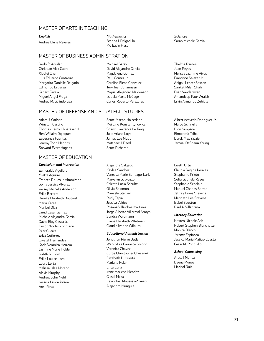### MASTER OF ARTS IN TEACHING

#### *English*

Andrea Elena Reveles

*Mathematics* Brenda I. Delgadillo Md Easin Hasan

### MASTER OF BUSINESS ADMINISTRATION

Rodolfo Aguilar Christian Alex Cabral Xiaofei Chen Luis Eduardo Contreras Margarita Danielle Delgado Edmundo Esparza Gilbert Favela Miguel Angel Fraga Andrea M. Galindo Leal

Michael Garay David Alejandro Garcia Magdalena Gomez Raul Gomez Jr. Carolina Elena Gonzalez Tory Jean Johannsen Miguel Alejandro Maldonado Izabela Marta McCage Carlos Roberto Perezares

### MASTER OF DEFENSE AND STRATEGIC STUDIES

Adam J. Carlson Winston Castillo Thomas Leroy Christesen II Ben Willaim Dojaquez Esperanza Fuentes Jeremy Todd Hendrix Steward Evert Hogans

# MASTER OF EDUCATION

#### *Curriculum and Instruction*

Esmeralda Aguilera Yvette Aguirre Frances De Jesus Altamirano Sonia Jessica Alvarez Kelsey Michelle Anderson Erika Becerra Brooke Elizabeth Boutwell Maria Cates Maribel Diaz Jared Cesar Gamez Michele Alejandra Garcia David Eloy Gasca Jr. Taylor Nicole Grohmann Pilar Guerra Erica Gutierrez Crystal Hernandez Karla Veronica Herrera Jasmine Marie Holder Judith R. Hoyt Erika Louise Lazo Laura Lorta Melissa Islas Moreno Alexis Murphy Andrew John Nebl Jessica Lavon Pilson Areli Raya

- Scott Joseph Holzerland Mei Ling Konstantynowicz Shawn Lawrence Le Tang Julie Ariana Loya James Lee Mudd Matthew J. Reed Scott Richards
- Alejandra Salgado Kaylee Sanchez Vanessa Marie Santiago-Larkin Marvelyn Scavuzzo Celeste Lucia Schultz Olivia Solomon Marisela Stanley Rudy Tapia Jessica Valdez Rosana Villalobos Martinez Jorge Alberto Villarreal Arroyo Sandra Waldmann Elaine Elizabeth Whitman Claudia Ivonne Wilburn

#### *Educational Administration*

Jonathan Pierre Butler WendyLee Carrasco Solorio Veronica Chavez Curtis Christopher Chesanek Elizabeth D. Huerta Mariana Kolar Erica Luna Irene Marlene Mendez Gissel Meza Kevin Joel Moussavi-Saeedi Alejandro Munguia

*Sciences* Sarah Michele Garcia

Thelma Ramos Juan Reyes Melissa Jazmine Rivas Francisco Salazar Jr. Abigail Lenter Sescon Sanket Milan Shah Evan Vanderzwan Amandeep Kaur Wraich Ervin Armando Zubiate

Albert Acevedo Rodriguez Jr. Marco Schinella Dion Simpson Elmostafa Talha Derek Max Yazzie Jamaal DeShaun Young

Lizeth Ortiz Claudia Regina Perales Stephanie Prieto Sofia Gabriela Reyes Stephanie Senclair Manuel Charles Serros Jeffrey Lewis Stevens Merideth Lee Stevens Isabel Stretton Raul A. Villagrana

#### *Literacy Education*

Kristen Nichole Ash Robert Stephen Blanchette Monica Blanco Jeremy Espinoza Jessica Marie Matias-Cuesta Cesar M. Ronquillo

#### *School Counseling*

Araceli Munoz Deena Munoz Marisol Ruiz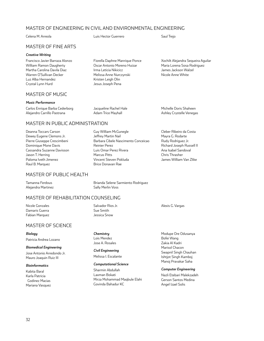# MASTER OF ENGINEERING IN CIVIL AND ENVIRONMENTAL ENGINEERING

Celena M. Arreola Luis Hector Guerrero Saul Trejo

Fiorella Daphne Manrique Ponce Oscar Antonio Moreno Huizar Irma Leticia Nikicicz Melissa Anne Nurczynski Kristen Leigh Olin Jesus Joseph Pena

Jacqueline Rachel Hale Adam Trice Mayhall

Guy William McGunegle Jeffrey Martin Nail

Vincent Steven Pokluda Brice Donavan Rae

Reinier Perez Luis Omar Perez Rivera

Marcus Pitts

# MASTER OF FINE ARTS

#### *Creative Writing*

Francisco Javier Barraza Alonzo William Ramon Daugherty Martha Carolina Davila Diaz Warren O'Sullivan Decker Luz Alba Hernandez Crystal Lynn Hurd

# MASTER OF MUSIC

#### *Music Performance*

Carlos Enrique Barba Cederborg Alejandro Carrillo Pastrana

# MASTER IN PUBLIC ADMINISTRATION

Deanna Toccars Carson Dewey Eugene Clemons Jr. Pierre Giuseppe Crescimbeni Dominique Mone Davis Cassandra Suzanne Davisson Jason T. Herring Paloma Iveth Jimenez Raul B. Marquez

# MASTER OF PUBLIC HEALTH

Tamanna Ferdous Alejandra Martinez Brianda Selene Sarmiento Rodriguez Sally Merlin Voss

Barbara Cibele Nascimento Conceicao

# MASTER OF REHABILITATION COUNSELING

Nicole Gonzales Damaris Guerra Fabian Marquez

Salvador Rios Jr. Sue Smith Jessica Snow

# MASTER OF SCIENCE

#### *Biology*

Patricia Andrea Lozano

# *Biomedical Engineering*

Jose Antonio Arredondo Jr. Mauro Joaquin Ruiz III

#### *Bioinformatics*

Kabita Baral Karla Patricia Godinez Macias Mariana Vasquez

#### *Chemistry* Lois Mendez Jose A. Rosales

*Civil Engineering* Melissa I. Escalante

#### *Computational Science*

Sharmin Abdullah Laxman Bokati Mirza Mohammad Maqbule Elahi Govinda Bahadur KC

Nicole Anne White

Xochilt Alejandra Sequeira Aguilar Maria Lorena Sosa Rodriguez James Jackson Walzel

Michelle Doris Shaheen Ashley Crystelle Venegas

Cleber Ribeiro da Costa Mayra G. Rodarte Rudy Rodriguez Jr. Richard Joseph Russell II Ana Isabel Sandoval Chris Thrasher James William Van Zlike

Modupe Ore Odusanya Bofei Wang Zakia Al Kadri Marisol Chacon Swapnil Singh Chauhan Ishtjot Singh Kamboj Manoj Pravakar Saha

Alexis G. Vargas

*Computer Engineering* Nazli Etebari Malekzadeh Gerson Santos Medina Angel Izael Solis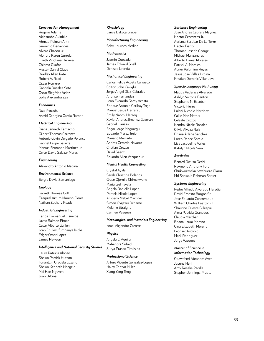#### *Construction Management*

Rogelio Adame Akinsunbo Akinbile Ahmad Paiman Amiri Jeronimo Benavides Alvaro Chacon Jr. Alondra Karen Gurrola Lizeth Viridiana Herrera Chioma Okafor Hector Daniel Olave Bradley Allen Pate Robert A. Read Oscar Romero Gabriela Rosales Soto Oscar Siegfried Veloz Sofia Alexandra Zea

#### *Economics*

Raul Estrada Astrid Georgina Garcia Ramos

#### *Electrical Engineering*

Diana Janneth Camacho Gilbert Thomas Carranza Antonio Gavin Delgado Polanco Gabriel Felipe Galarza Manuel Fernando Martinez Jr. Omar David Salazar Mares

#### *Engineering*

Alexandro Antonio Medina

#### *Environmental Science*

Sergio David Samaniego

#### *Geology*

Garrett Thomas Goff Ezequiel Arturo Moreno Flores Nathan Zachary Reade

#### *Industrial Engineering*

Carlos Emmanuel Cisneros Javed Salman Firoze Cesar Alberto Guillen Joan Chukwufumnanya Isichei Edgar Omar Lopez James Newson

#### *Intelligence and National Security Studies*

Laura Patricia Alonso Shawn Patrick Hutson Tonantzin Graciela Lozano Shawn Kenneth Naegele Mai Han Nguyen Juan Urbina

#### *Kinesiology* Lance Dakota Gruber

#### *Manufacturing Engineering*

Saby Lourdes Medina

#### *Mathematics*

Jazmin Quezada James Edward Snell Denisse Urenda

### *Mechanical Engineering*

Carlos Felipe Acosta Carrasco Colton John Caviglia Jorge Angel Diaz-Cabrales Alfonso Fernandez Leon Everardo Garay Acosta Enrique Antonio Garibay Trejo Manuel Jesus Herrera Jr. Emily Naomi Herzog Xavier Andres Jimenez Guzman Gabriel Llausas Edgar Jorge Maguregui Eduardo Meraz Trejo Mariano Mercado Andres Gerardo Navarro Cristian Orozco David Saenz Eduardo Allen Vazquez Jr.

#### *Mental Health Counseling*

Crystal Ayala Sarah Christine Bolanos Grace Ojornile Chimekwene Mariaitzel Favela Angela Danielle Lopez Pamela Nicole Lopez Amberly Mabel Martinez Simon Oyijewu Ocheme Melanie Straight Carmen Vasquez

#### *Metallurgical and Materials Engineering*

Israel Alejandro Carrete

#### *Physics*

Angela C. Aguilar Mahendra Subedi Surya Prasad Timilsina

#### *Professional Science*

Arturo Vicente Gonzalez-Lopez Haley Caitlyn Miller Xiang Yang Teng

#### *Software Engineering*

Jose Andres Cabrera Maynez Hector Cervantes Jr. Adriana Escobar De La Torre Hector Fierro Thomas Joseph George Michael Manzanares Alberto Daniel Morales Patrick A. Morales Abner Palomino Reyes Jesus Jose Valles Urbina Kristian Dominic Villanueva

#### *Speech-Language Pathology*

Magda Vedenice Alvarado Ashlyn Victoria Benton Stephanie N. Escobar Victoria Fierro Lulani Nichole Martinez Callie Mae Mathis Celeste Orozco Kendra Nicole Rosales Olivia Alyzza Ruiz Briana Arlene Sanchez Loren Renee Sotelo Lisa Jacqueline Valles Katelyn Nicole Vera

#### *Statistics*

Benard Owusu Dechi Raymond Anthony Ford Chukwuemeka Nwabueze Okoro Md Showaib Rahman Sarker

#### *Systems Engineering*

Pedro Alfredo Alvarado Heredia David Ernesto Burgos Sr. Jose Eduardo Contreras Jr. William Charles Easttom II Shaurice Celeste Gillespie Alma Patricia Granados Claudia Marchan Briana Laura Moreno Gina Elizabeth Moreno Leonard Provoid Mark Rodriguez Jorge Vazquez

#### *Master of Science in Information Technology*

Oluwafemi Abraham Ayeni Josuhe Neri Amy Rosalie Padilla Stephen Jennings Pruett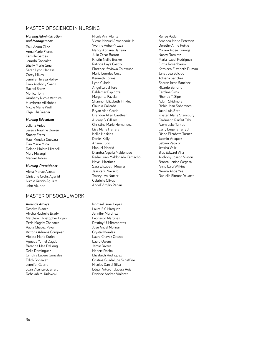### MASTER OF SCIENCE IN NURSING

#### *Nursing Administration and Management*

Paul Adam Cline Anna Marie Flores Camille Gerdes Jerardo Gonzalez Shelly Marie Green Sarah Lynn Harlass Corey Mikes Jennifer Teresa Rolley Dion Anthony Saenz Rachel Shaw Monica Tom Kimberly Nicole Ventura Humberto Villalobos Nicole Marie Wolf Olga Lilia Yeager

#### *Nursing Education*

Juliana Anjos Jessica Pauline Bowen Stacey Estes Raul Mendez Guevara Erin Marie Mina Dolapo Molara Mitchell Mary Mwangi Manuel Tobias

#### *Nursing-Practitioner*

Alexa Monae Acosta Christine Grohs Agerlid Nicole Kristin Aguirre John Akunne

# MASTER OF SOCIAL WORK

Amanda Amaya Rosalva Blanco Alysha Rachelle Brady Matthew Christopher Bryan Perla Magaly Chaparro Paola Chavez Payan Victoria Adriana Compean Violeta Maria Curlee Agueda Yamel Dagda Breanna Mae DeLong Delia Dominguez Cynthia Lucero Gonzalez Edith Gonzalez Jennifer Guerra Juan Vicente Guerrero Rebekah M. Kulowski

Nicole Ann Alaniz Victor Manuel Armendariz Jr. Yvonne Aubel-Mazza Nancy Adriana Barraza Julio Cesar Barron Kristin Neille Becker Patricia Loya Castro Florence Ifeyinwa Chinwuba Maria Lourdes Coca Kenneth Collins Lynn Cubela Angelica del Toro Baldemar Espinoza Margarita Favela Shannon Elizabeth Finklea Claudia Gallardo Bryan Alan Garcia Brandon Allen Gauthier Audrey S. Gilliam Christine Marie Hernandez Lisa Marie Herrera Kellie Hoskins Daniel Kelly Ariana Lugo Manuel Madrid Diandra Argelia Maldonado Pedro Juan Maldonado Camacho Nayeli Martinez Sara Elisabeth Mowrer Jessica Y. Navarro Tracey Lyn Nutter Gabrielle Olivas Angel Virgilio Pagan

Ishmael Israel Lopez Laura E C Marquez Jennifer Martinez Leonardo Martinez Destiny U. Miramontes Jose Angel Molinar Crystal Morales Laura Chavez Orozco Laura Owens Jamie Rivera Hebert Rocha Elizabeth Rodriguez Cristina Guadalupe Schaffino Nicolas Daniel Silva Edgar Arturo Talavera Ruiz Denisse Andrea Violante

Renee Patlan Amanda Marie Petersen Dorothy Anne Pottle Miriam Aidee Quiroga Nancy Ramirez Maria Isabel Rodriguez Cintia Rosenbaum Kathleen Elizabeth Ruman Janet Lea Salcido Adriana Sanchez Sharon Irene Sanchez Ricardo Serrano Caroline Sims Rhonda T. Sipe Adam Skidmore Rickie Jean Soberanes Juan Luis Soto Kristen Marie Stansbury Ferdinand Parfait Tabi Atem Leke Tambo Larry Eugene Terry Jr. Diane Elizabeth Turner Jazmin Vasquez Sabino Vega Jr. Jessica Veliz Blas Edward Villa Anthony Joseph Viscon Bronta Lenise Wegesa Anna Lara Wilkins Norma Alicia Yee Daniella Simona Ytuarte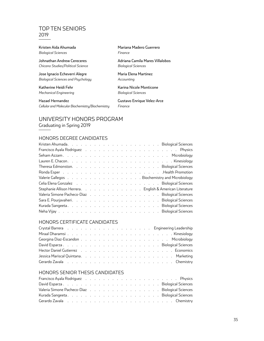# TOP TEN SENIORS 2019

Kristen Aida Ahumada *Biological Sciences*

Johnathan Andrew Cereceres *Chicano Studies/Political Science*

Jose Ignacio Echeverri Alegre *Biological Sciences and Psychology*

Katherine Heidi Fehr *Mechanical Engineering*

Hazael Hernandez *Cellular and Molecular Biochemistry/Biochemistry* Mariana Madero Guerrero *Finance*

Adriana Camila Mares Villalobos *Biological Sciences*

Maria Elena Martinez *Accounting*

Karina Nicole Monticone *Biological Sciences*

Gustavo Enrique Velez-Arce *Finance*

# UNIVERSITY HONORS PROGRAM Graduating in Spring 2019

# HONORS DEGREE CANDIDATES

| Francisco Ayala Rodriguez (Changel Albert Albert Albert Albert Albert Albert Albert Albert Albert Albert Alber                                                                                                                 |  |  |  |  |  |  |  |  |  |  |  |
|--------------------------------------------------------------------------------------------------------------------------------------------------------------------------------------------------------------------------------|--|--|--|--|--|--|--|--|--|--|--|
|                                                                                                                                                                                                                                |  |  |  |  |  |  |  |  |  |  |  |
|                                                                                                                                                                                                                                |  |  |  |  |  |  |  |  |  |  |  |
|                                                                                                                                                                                                                                |  |  |  |  |  |  |  |  |  |  |  |
|                                                                                                                                                                                                                                |  |  |  |  |  |  |  |  |  |  |  |
| Valerie Gallegos (Charles Landscare Landscare Landscare Landscare Landscare Landscare Gallegos (Charles Landscare Landscare Gallegos Charles Gallegos Landscare Gallegos (Charles Gallegos Landscare Gallegos Landscare Galleg |  |  |  |  |  |  |  |  |  |  |  |
| Celia Elena Gonzalez response response response response response response response response in Biological Sciences                                                                                                            |  |  |  |  |  |  |  |  |  |  |  |
| Stephanie Allison Herrera. English & American Literature                                                                                                                                                                       |  |  |  |  |  |  |  |  |  |  |  |
| Valeria Simone Pacheco-Diaz Biological Sciences                                                                                                                                                                                |  |  |  |  |  |  |  |  |  |  |  |
| Sara E. Pourjavaheri. (Changel Allen Allen Allen Allen Allen Allen Allen Allen Allen Allen Allen Allen Allen A                                                                                                                 |  |  |  |  |  |  |  |  |  |  |  |
|                                                                                                                                                                                                                                |  |  |  |  |  |  |  |  |  |  |  |
|                                                                                                                                                                                                                                |  |  |  |  |  |  |  |  |  |  |  |
|                                                                                                                                                                                                                                |  |  |  |  |  |  |  |  |  |  |  |

# HONORS CERTIFICATE CANDIDATES

| Gerardo Zavala in the context of the context of the context of the context of the context of the context of the context of the context of the context of the context of the context of the context of the context of the conte |  |  |  |  |  |  |  |  |  |  |  |
|--------------------------------------------------------------------------------------------------------------------------------------------------------------------------------------------------------------------------------|--|--|--|--|--|--|--|--|--|--|--|

# HONORS SENIOR THESIS CANDIDATES

| Francisco Ayala Rodriguez (Changel Andreas Andreas Andreas Andreas Andreas Andreas Andreas Andreas A           |  |  |  |  |  |  |  |  |  |
|----------------------------------------------------------------------------------------------------------------|--|--|--|--|--|--|--|--|--|
|                                                                                                                |  |  |  |  |  |  |  |  |  |
| Valeria Simone Pacheco-Diaz Biological Sciences                                                                |  |  |  |  |  |  |  |  |  |
|                                                                                                                |  |  |  |  |  |  |  |  |  |
| Gerardo Zavala response response response response response response response response response a contractor o |  |  |  |  |  |  |  |  |  |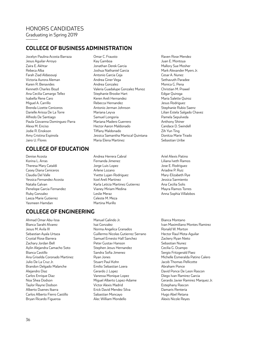# HONORS CANDIDATES

Graduating in Spring 2019

# **COLLEGE OF BUSINESS ADMINISTRATION**

Jocelyn Paulina Acosta Barraza Jesus Aguilar-Arroyo Zaira E. Akhtar Rebeca Alba Farah Ziad Aldasouqi Victoria Aurora Aleman Karen R. Benavides Kenneth Charles Boyd Ana Cecilia Camargo Tellez Isabella Rene Caro Miguel A. Carrillo Brenda Lizette Ceniceros Darielle Arissa De La Torre Alfredo De Santiago Paula Giovanna Dominguez Parra Alexa M. Enciso Jodie R. Enokson Amy Cristina Espinola Jairo U. Flores

# **COLLEGE OF EDUCATION**

Denise Acosta Korina L. Arras Theresa Mary Cataldi Casey Diana Ceniceros Claudia Del Valle Yessica Fernandez Acosta Natalia Galvan Penelope Garcia Fernandez Ruby Gonzalez Leeza Marie Gutierrez Yasmeen Hamdan

# **COLLEGE OF ENGINEERING**

Ahmad Omar Abu-Issa Bianca Sarahi Alvarez Jesus M. Avila III Sebastian Ayala Urtaza Crystal Rose Barrera Zachary Jordan Bell Aylin Alejandra Camacho Soto Bianca Castillo Ana Griselda Coronado Martinez Julio De La Cruz Jr. Brandon Delgado Malanche Alejandro Diaz Carlos Enrique Diaz Noa Shea Dodson Taylor Rayne Dodson Alberto Duenes Ibarra Carlos Alberto Fierro Castillo Bryan Ricardo Figueroa

- Omar C. Frausto Kay Gamboa Jonathan Derek Garcia Joshua Nathaniel Garcia Antonio Garcia Ceja Andrea Giner Vega Andrea Gonzalez Valeria Guadalupe Gonzalez Munoz Stephanie Brooke Hart Keren Areli Hernandez Rebecca Hernandez Antonio Jerman Johnson Mariana Leyva Samuel Longoria Mariana Madero Guerrero Hector Aaron Maldonado Tiffany Maldonado Jessica Samantha Mariscal Quintana Maria Elena Martinez
- Andrea Herrera Cabral Fernanda Jimenez Jorge Luis Lopez Arlene Lozano Yvette Lujan-Rodriguez Itzel Areli Martinez Karla Leticia Martinez Gutierrez Vianey Miriam Medina Leslie Meraz Celeste M. Meza Martina Murillo
- Manuel Galindo Jr. Isai Gonzalez Norma Angelica Granados Guillermo Nicolas Gutierrez Serrano Samuel Ernesto Hall Sanchez Peter Gustav Hanson Stephen Jesus Hernandez Sandra Sofia Jimenez Ryan Jones Stuart Paul Kohn Emilio Sebastian Loera Gerardo J. Lopez Vanessa Monique Lopez Miguel Alberto Lopez-Adame Victor Alexis Madrid Erick David Mendez Silva Sabastian Moncayo Alec William Mondello

Raven Rose Mendez Juan E. Montoya Mallory Sue Mosher Mark Alexander Myers Jr. Cesar A. Nunez Sethavuth Paradee Monica G. Pena Christian M. Prawel Edgar Quiroga Maria Salette Quiroz Jesus Rodriguez Stephanie Rubio Saenz Lilian Estela Salgado Chavez Pamela Sepulveda Anthony Shiner Candace D. Swindell Zih Yun Ting Donitza Marie Tirado Sebastian Uribe

Ariel Alexis Patino Liliana Iveth Ramos Jose E. Rodriguez Ariadne P. Ruiz Mary-Elizabeth Rye Jessica Sarmiento Ana Cecilia Solis Mayra Ramos Torres Anna Sophia Villalobos

Bianca Montano Ivan Maximiliano Montes Ramirez Ronald W. Morton Hector Raul Mota-Aguilar Zackery Ryan Nieto Sebastian Nunez Cecilia G. Ocampo Sergio Fritzgerald Paez Michelle Esmeralda Patino Calero Jacob Thomas Pellicotte Abraham Ponce David Ponce De Leon Rascon Diego Ivan Ramirez Garcia Gerardo Javier Ramirez Marquez Jr. Estephany Rascon Damaris Renteria Hugo Abel Retana Alexis Nicole Reyes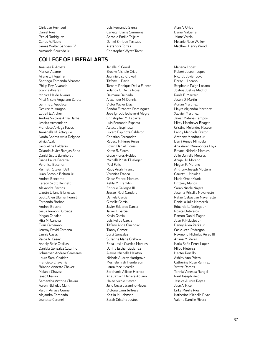Christian Reynaud Daniel Rios Peniel Rodriguez Carlos A. Rubio James Walter Sanders IV Armando Saucedo Jr.

# **COLLEGE OF LIBERAL ARTS**

Analisse P. Acosta Marisol Adame Ailene Lili Aguirre Santiago Fernando Alcantar Philip Rey Alvarado Joanna Alvarez Monica Haide Alvarez Mitzi Nicole Anguiano Zarate Sammy J. Apodaca Desiree M. Aragon Latrell E. Archer Andrea Victoria Ariza Barba Jessica Armendariz Francisco Arriaga Pazos Annabella M. Attaguile Narda Andrea Avila Delgado Silvia Ayala Jacqueline Balderas Orlando Javier Barajas Soria Daniel Scott Barnhorst Diana Laura Becerra Veronica Becerra Kenneth Steven Bell Juan Antonio Beltran Jr. Andrea Bencomo Carson Scott Bennett Alexandra Berrios Lizette Liliana Bibriescas Scott Allen Blumanhourst Fernando Borboa Andrea Bouche Jesus Ramon Burciaga Megan Cahalan Rita M. Canava Evan Carcerano Jeremy David Cardona Jannie Casas Paige N. Casey Ashely Belle Casillas Daniela Gonzalez Catarino Johnathan Andrew Cereceres Laura Sarai Chaidez Francisco Chavarria Brianna Annette Chavez Melanie Chavez Isaac Chavira Samantha Victoria Chavira Aaron Nicholas Clark Kaitlin Amasa Conner Alejandra Coronado Jeanette Coronel

Luis Fernando Sierra Carleigh Elaine Simmons Antonio Emilio Teijeiro Daniel Enrique Terrazas Alexandra Torres Christopher Wyatt Tovar

Janelle K. Corral Brooke Nichole Crisp Jeannie Lisa Crowell Tiffany L. Davis Tamara Ronique De La Fuente Yolanda G. De La Rosa Delmarie Delgado Alexander M. Dennis Victor Xavier Diaz Sandra Elizabeth Dominguez Jose Ignacio Echeverri Alegre Christopher M. Esparza Luis Fernando Esparza Aztecatl Espinosa Lucero Espinoza Calderon Christian Fernandez Rebeca F. Fierro Perez Edwin Daniel Flores Karen S. Flores Grace Flores-Robles Michelle Kristi Fluekiger Paul Folis Ruby Anahi Franco Veronica Franco Oscar Franco-Morales Ashly M. Franklin Enrique Gallegos III Jezrael Raul Gandara Daniela Garcia Gisselle Garcia Javier Eduardo Garcia Javier J. Garcia Kevin Garcia Luis Felipe Garcia Tiffany Anne Gluchoski Tianny Gomez Sarai Gonzalez Suzanne Marie Graham Erika Leslie Guedea Morales Darina Esther Gutierrez Aleyna Michelle Halatyn Nichole Audrey Hardgrove Meshelemiah Henderson Laura Mae Heredia Stephanie Allison Herrera Ana Jazmin Herrera Aquino Halee Nicole Hester Julio Cesar Jaramillo-Reyes Victoria Lynn Jeffress Kaitlin M. Johnson Sarah Cristina Justus

Alan A. Uribe Daniel Valtierra Jaime Varela Melanie Rose Walker Matthew Henry Wood

Mariana Lopez Robert Joseph Lopez Ricardo Javier Loya Darsy L. Lozano Stephanie Paige Lozano Joshua Justiss Madrid Paola E. Marrero Jason D. Martin Adrian Martinez Mayra Alejandra Martinez Xzavier Martinez Javier Mateos-Campos Misty Matthews-Bhagat Cristina Melendez Rascon Landy Mendiola Breton Anthony Mendoza Jr. Demi Renee Mimbela Ana Karen Miramontes Loya Breana Nichelle Morales Julie Danielle Morales Abigail N. Moreno Megan R. Moreno Anthony Joseph Mottern Garrett L. Mowles Mario Omar Muniz Brittney Munoz Sarah Nicole Najera Jesenia Priscilla Navarrette Rafael Sebastian Navarrette Daniella Julia Nemecek Eduardo L. Noriega Jr. Rosita Ontiveros Ramon Daniel Pagan Juan P. Palacios Jr. Danny Allen Parks Jr. Casie Jeen Pedregon Raymond Nicholas Perea III Ariana M. Perez Karla Sofia Perez Lopez Milou Pietersz Hector Portillo Ashley Ann Prieto Catherine Rose Ramirez Yvette Ramos Tannia Vanessa Rangel Paul Joseph Reid Jessica Aurora Reyes Jose A. Rico Erika Mirelle Rios Katherine Michelle Rivas Valorie Camille Rivera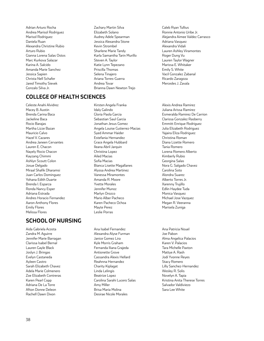Adrian Arturo Rocha Andrea Marisol Rodriguez Marisol Rodriguez Daniela Ruan Alexandra Christine Rubio Arturo Rubio Gianna Lorena Salas Ostos Marc Kurkova Salazar Karina A. Salcido Amanda Marie Sanchez Jessica Sapien Christa Nell Schafer Jared Timothy Sievek Gonzalo Silva Jr.

- Zachary Martin Silva Elizabeth Solano Audrey Adele Spearman Jessica Alexandra Stone Kevin Strombel Sharlene Marie Tandy Karla Samantha Tarin Murillo Steven A. Taylor Katie Lynn Tepezano Priscilla Thomas Selena Tinajero Ariana Torres-Guerra Andrea Tovar Brianna Dawn Newton Trejo
- Caleb Ryan Tullius Ronnie Antonio Uribe Jr. Alejandra Aimee Valdez Carrasco Adriana Vasquez Alexandra Vidali Lauren Ashley Viramontes Roger Dung Vu Lauren Taylor Wagner Marissa E. Whitaker Emily S. White Vacil Gonzalez Zabanal Ricardo Zaragoza Mercedes J. Zavala

# **COLLEGE OF HEALTH SCIENCES**

Celeste Anahi Alvidrez Macey B. Austin Brenda Carina Baca Jackeline Baca Rocio Barajas Martha Lizze Bazan Mauricio Calvo Hazel V. Cazares Andrea Janeen Cervantes Lauren E. Chacon Nayely Rocio Chacon Kayzang Chimmi Ashlyn Scoutt Colon Josue Delgado Miraal Shafik Dharamsi Juan Carlos Dominguez Yohana Edith Duarte Brenda I. Esparza Ronda Nancy Esper Adriana Estrada Andres Horacio Fernandez Aaron Anthony Flores Emily Flores Melissa Flores

# **SCHOOL OF NURSING**

Aida Gabriela Acosta Zandra M. Aguirre Jennifer Marie Barragan Clarissa Isabel Bernal Lauren Gayle Black Joslyn J. Bringas Evelyn Castaneda Ayleen Castro Sarah Elizabeth Chavez Adela Marie Colmenero Zoe Elizabeth Contreras Karen Pearl Copp Adriana De La Torre Afton Donne Deleon Rachell Dawn Dixon

Kirsten Angela Franka Idaly Galindo Gloria Paola Garcia Sebastian Saul Garcia Jonathan Jesus Gomez Angela Louise Gutierrez-Macias Syed Ammar Haider Estefania Hernandez Grace Angela Hubbard Ileana Abril Jarquin Christina Lopez Ailed Macias Sofia Macias Bianca Lisette Magallanes Alyssa Andrea Martinez Vanessa Miramontes Amanda R. Moore Yvette Morales Jennifer Munoz Marlyn Orozco Mario Alber Pacheco Karen Pacheco Ochoa Mayte Perez Leslie Porras

Ana Isabel Fernandez Alexandra Alyse Furman Janice Gomez Lira Kyle Morris Graham Fernanda Iliana Grajeda Antionette Grove Cassandra Alexis Hellard Reahnna Hernandez Charity Kiplagat Linda Lelingis Beatrize Lopez Carolina Sarahi Lucero Salas Amy Miller Brisa Maria Molina Desirae Nicole Morales

Alexis Andrea Ramirez Juliana Arissa Ramirez Esmeralda Ramirez De Carrion Clarissa Gonzalez Rasberry Emmitt Enrique Rodriguez Julia Elizabeth Rodriguez Yajaira Eliza Rodriguez Christina Roman Diana Lizette Romero Tania Romero Lorena Romero Alberto Kimberly Rubio Georgina Salas Nora G. Salgado Chavez Carolina Soto Alondra Suarez Alberto Torres Jr. Xarenny Trujillo Edlin Haydee Tuda Monica Vasquez Michael Jose Vazquez Megan R. Veeranna Marisela Zuniga

Ana Patricia Nouel Joe Pabon Alma Angelica Palacios Karen V. Palacios Tara Michelle Paxton Mattye A. Rash Jodi Yvonne Reyes Stacy Romero Lilly Sanchez-Hernandez Wesley R. Solis Novelyn A. Tapia Kristina Anita Therese Torres Salvador Valdiviezo Sara Lee White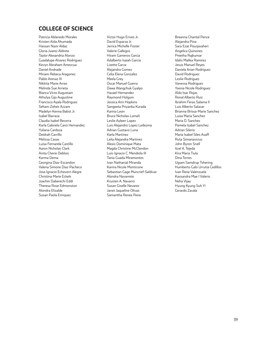# **COLLEGE OF SCIENCE**

Patricia Ablanedo Morales Kristen Aida Ahumada Hassan Nazir Aldaz Gloria Juarez Aldrete Taylor Alexandria Alonzo Guadalupe Alvarez Rodriguez Kevyn Abraham Amezcua Daniel Andrade Miriam Rebeca Aragonez Pablo Arenaz III Nikkita Marie Arras Melinda Sue Arrieta Bianca Victo Augustain Athulya Gijo Augustine Francisco Ayala Rodriguez Seham Zoheir Azzam Madelyn Kenna Babst Jr. Isabel Barraza Claudia Isabel Becerra Karla Gabriela Cano Hernandez Yuliana Cardoza Deidrah Carrillo Melissa Casas Luisa Fernanda Castillo Aaron Nicholas Clark Anita Cherie Deblois Karma Dema Georgina Diaz-Escandon Valeria Simone Diaz-Pacheco Jose Ignacio Echeverri Alegre Christina Marie Eckels Joachin Daberechi Eddi Theresa Rose Edmonston Alondra Elizalde Susan Paola Enriquez

Victor Hugo Erives Jr. David Esparza Jr. Jerrica Michelle Foster Valerie Gallegos Hiram Gameros Garcia Adalberto Isaiah Garcia Lizette Garza Alejandra Gomez Celia Elena Gonzalez Meela Grey Oscar Manuel Guerra Dawa Wangchuk Gyalpo Hazael Hernandez Raymond Holguin Jessica Ann Hopkins Sangeeta Priyanka Kurada Karina Leon Bruce Nicholas Lomeli Leslie Ayleen Lopez Luis Alejandro Lopez Ledezma Adrian Gustavo Luna Karla Martinez Leila Alejandra Martinez Alexis Dominique Mata Magda Christine McClendon Luis-Ignacio C. Mendiola III Tania Guada Miramontes Ivan Nathanial Miranda Karina Nicole Monticone Sebastian Gage Muncrief-Saldivar Alondra Navarrete Krysten A. Navarro Susan Giselle Nevarez Janet Jaqueline Olivas Samantha Renee Pena

Breanna Chantal Pence Alejandra Pina Sara Ezat Pourjavaheri Angelica Quinones Preetha Rajkumar Idalis Malika Ramirez Jesus Manuel Reyes Daniela Arian Rodriguez David Rodriguez Leslie Rodriguez Vanessa Rodriguez Ysenia Nicole Rodriguez Aldo Isac Rojas Ronal Alberto Ruiz Ibrahim Feras Salama II Luis Alberto Salazar Brianna Brissa-Marie Sanchez Luisa Maria Sanchez Maria D. Sanchez Pamela Isabel Sanchez Adrian Silerio Maria Isabel Siles Asaff Ruta Simanavicius John Byron Snell Itzel A. Tejeda Kira Maria Tiula Dina Torres Ugyen Samdrup Tshering Humberto Galo Urrutia Cedillos Ivan Rene Valenzuela Kassandra Mae I Valerio Neha Vijay Hyung Kyung Suh Yi Gerardo Zavala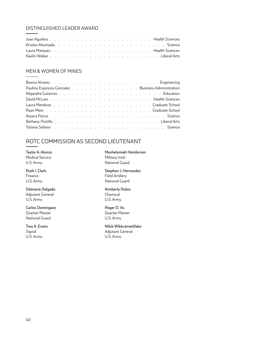# DISTINGUISHED LEADER AWARD

# MEN & WOMEN OF MINES

|  |  |  |  |  |  |  |  |  |  | Paulina Espinoza-Gonzalez Business Administration                                                                                                                                                                              |
|--|--|--|--|--|--|--|--|--|--|--------------------------------------------------------------------------------------------------------------------------------------------------------------------------------------------------------------------------------|
|  |  |  |  |  |  |  |  |  |  |                                                                                                                                                                                                                                |
|  |  |  |  |  |  |  |  |  |  |                                                                                                                                                                                                                                |
|  |  |  |  |  |  |  |  |  |  | Laura Mendoza (Collection Contract Contract Array Construction Construction Contract Ochool                                                                                                                                    |
|  |  |  |  |  |  |  |  |  |  |                                                                                                                                                                                                                                |
|  |  |  |  |  |  |  |  |  |  |                                                                                                                                                                                                                                |
|  |  |  |  |  |  |  |  |  |  |                                                                                                                                                                                                                                |
|  |  |  |  |  |  |  |  |  |  | Tatiana Soltero (Changel and Changel and Changel and Changel and Changel and Changel and Changel and Changel and Changel and Changel and Changel and Changel and Changel and Changel and Changel and Changel and Changel and C |

# ROTC COMMISSION AS SECOND LIEUTENANT

Taylor A. Alonzo Medical Service U.S. Army

Ruth I. Clark Finance U.S. Army

Delmarie Delgado Adjutant General U.S. Army

Carlos Dominguez Quarter Master National Guard

Troy A. Evans Signal U.S. Army

Meshelemiah Henderson Military Intel National Guard

Stephen J. Hernandez Field Artillery National Guard

Kimberly Rubio Chemical U.S. Army

Roger D. Vu Quarter Master U.S. Army

Niluk Wikkramatillake Adjutant General U.S. Army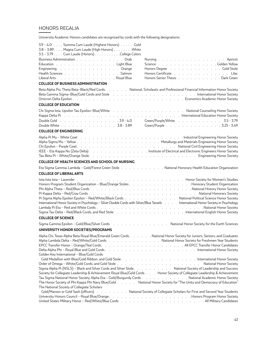# HONORS REGALIA

University Academic Honors candidates are recognized by cords with the following designations:

| 3.9 - 4.0 Summa Cum Laude (Highest Honors) Gold<br>3.8 - 3.89. Magna Cum Laude (High Honors) White<br>3.5 - 3.79 Cum Laude (Honors) College Colors                                                                                                                                                                                                                                                    |                                                                                                                                                                                                                                                                                                                                           |
|-------------------------------------------------------------------------------------------------------------------------------------------------------------------------------------------------------------------------------------------------------------------------------------------------------------------------------------------------------------------------------------------------------|-------------------------------------------------------------------------------------------------------------------------------------------------------------------------------------------------------------------------------------------------------------------------------------------------------------------------------------------|
| Business Administration Drab<br>Education Light Blue<br>Engineering. Orange<br>Health Sciences Salmon<br>Liberal Arts Royal Blue<br><b>COLLEGE OF BUSINESS ADMINISTRATION</b>                                                                                                                                                                                                                         | Nursing Apricot<br>Science Golden Yellow<br>Honors Degree (Albert Louis Albert Louis Albert Louis Albert Louis Albert Louis Albert Louis Albert Louis Albert Louis Albert Louis Albert Louis Albert Louis Albert Louis Albert Louis Albert Louis Albert Louis Albert Louis<br>Honors Certificate Lilac<br>Honors Senior Thesis Dark Green |
| Beta Alpha Psi, Theta Beta-Black/Red Cords. National, Scholastic and Professional Financial Information Honor Society<br>Beta Gamma Sigma-Blue/Gold Cords and Stole editorial enterstand enterstand and store and store of the store of                                                                                                                                                               |                                                                                                                                                                                                                                                                                                                                           |
| <b>COLLEGE OF EDUCATION</b>                                                                                                                                                                                                                                                                                                                                                                           |                                                                                                                                                                                                                                                                                                                                           |
| Chi Sigma lota, Upsilon Tau Epsilon-Blue/White National Counseling Honor Society<br>Kappa Delta Pindeller et al. Annual et al. Annual et al. Annual et al. Annual et al. Annual et al. Annual et a<br>Double Gold 39 - 4.0<br>Double White 3.8 - 3.89                                                                                                                                                 | Green/Purple/White 3.5 - 3.79<br>Green/Purple 3.25 - 3.49                                                                                                                                                                                                                                                                                 |
| <b>COLLEGE OF ENGINEERING</b>                                                                                                                                                                                                                                                                                                                                                                         |                                                                                                                                                                                                                                                                                                                                           |
| Alpha Pi Mu - White Cowlett Library Library Library Library Library Library Library Library Library Library Li<br>IEEE - Eta Kappa Nu (Zeta Delta) Institute of Electrical and Electronic Engineers Honor Society                                                                                                                                                                                     |                                                                                                                                                                                                                                                                                                                                           |
| <b>COLLEGE OF HEALTH SCIENCES AND SCHOOL OF NURSING</b>                                                                                                                                                                                                                                                                                                                                               |                                                                                                                                                                                                                                                                                                                                           |
| Eta Sigma Gamma, Lambda - Gold/Forest Green Stole National Honorary Health Education Organization                                                                                                                                                                                                                                                                                                     |                                                                                                                                                                                                                                                                                                                                           |
| <b>COLLEGE OF LIBERAL ARTS</b>                                                                                                                                                                                                                                                                                                                                                                        |                                                                                                                                                                                                                                                                                                                                           |
|                                                                                                                                                                                                                                                                                                                                                                                                       |                                                                                                                                                                                                                                                                                                                                           |
| Honors Program Student Organization - Blue/Orange Stoles Honorary Student Organization<br>Pi Sigma Alpha Epsilon Epsilon - Red/White/Black Cords National Political Science Honor Society<br>International Honor Society in Psychology - Silver Double Cords with Silver/Blue Tassels International Honor Society in Psychology                                                                       |                                                                                                                                                                                                                                                                                                                                           |
| <b>COLLEGE OF SCIENCE</b>                                                                                                                                                                                                                                                                                                                                                                             |                                                                                                                                                                                                                                                                                                                                           |
| Sigma Gamma Epsilon - Gold/Blue/Silver Cords National Honor Society for the Earth Sciences                                                                                                                                                                                                                                                                                                            |                                                                                                                                                                                                                                                                                                                                           |
| UNIVERSITY HONOR SOCIETIES/PROGRAMS                                                                                                                                                                                                                                                                                                                                                                   |                                                                                                                                                                                                                                                                                                                                           |
| Alpha Chi, Texas Alpha Beta Royal Blue/Emerald Green Cords National Honor Society for Juniors, Seniors, and Graduates<br>Alpha Lambda Delta - Red/White/Gold Cords National Honor Society for Freshmen Year Students                                                                                                                                                                                  |                                                                                                                                                                                                                                                                                                                                           |
| Golden Key International - Blue/Gold Cords<br>Sigma Alpha Pi (NSLS) - Black and Silver Cords and Silver Stole. National Society of Leadership and Success                                                                                                                                                                                                                                             |                                                                                                                                                                                                                                                                                                                                           |
| Society for Collegiate Leadership & Achievement Royal Blue/Gold Cords Honor Society of Collegiate Leadership & Achievement<br>Tau Sigma National Honor Society, Alpha Eta - Gold/Burgundy Cords National Academic Honor Society<br>The Honor Society of Phi Kappa Phi Navy Blue/Gold National Honor Society for "The Unity and Democracy of Education"<br>The National Society of Collegiate Scholars |                                                                                                                                                                                                                                                                                                                                           |
| Gold/Maroon or Gold Sash (officers) National Society of Collegiate Scholars for First and Second Year Students                                                                                                                                                                                                                                                                                        |                                                                                                                                                                                                                                                                                                                                           |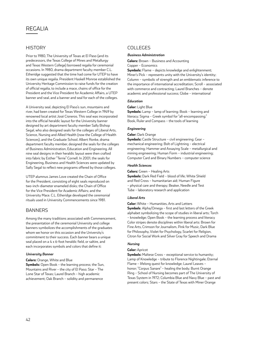# REGALIA

# **HISTORY**

Prior to 1980, The University of Texas at El Paso (and its predecessors, the Texas College of Mines and Metallurgy and Texas Western College) borrowed regalia for ceremonial occasions. In 1980, drama department faculty member C.L. Etheridge suggested that the time had come for UTEP to have its own unique regalia. President Haskell Monroe established the University Heritage Commission to raise funds for the creation of official regalia, to include a mace, chains of office for the President and the Vice President for Academic Affairs, a UTEP banner and seal, and a banner and seal for each of the colleges.

A University seal, depicting El Paso's sun, mountains and river, had been created for Texas Western College in 1949 by renowned local artist José Cisneros. This seal was incorporated into the official heraldic layout for the University banner designed by art department faculty member Sally Bishop Segal, who also designed seals for the colleges of Liberal Arts, Science, Nursing and Allied Health (now the College of Health Sciences), and the Graduate School. Albert Ronke, drama department faculty member, designed the seals for the colleges of Business Administration, Education and Engineering. All nine seal designs in their heraldic layout were then crafted into fabric by Esther "Terrie" Cornell. In 2001, the seals for Engineering, Business and Health Sciences were updated by Sally Segal to reflect new programs offered by those colleges.

UTEP alumnus James Love created the Chain of Office for the President, consisting of eight seals reproduced on two-inch-diameter enameled disks; the Chain of Office for the Vice President for Academic Affairs; and the University Mace. C.L. Etheridge developed the ceremonial rituals used in University Commencements since 1981.

### **BANNERS**

Among the many traditions associated with Commencement, the presentation of the ceremonial University and college banners symbolizes the accomplishments of the graduates whom we honor on this occasion and the University's commitment to their success. Each banner bears a unique seal placed on a 4 x 6-foot heraldic field, or saltire, and each incorporates symbols and colors that define it:

#### *University Banner*

**Colors:** Orange, White and Blue **Symbols:** Open Book – the learning process; the Sun, Mountains and River – the city of El Paso; Star – The Lone Star of Texas; Laurel Branch – high academic achievement; Oak Branch – solidity and permanence

### COLLEGES

#### *Business Administration*

**Colors:** Brown – Business and Accounting Copper – Economics

**Symbols:** Flame – depicts knowledge and enlightenment; Miner's Pick – represents unity with the University's identity; Column – symbolic of strength and an emblematic inference to the importance of international accreditation; Scroll – associated with commerce and contracting; Laurel Branches – denote academic and professional success; Globe – international

#### *Education*

#### **Color:** Light Blue

**Symbols:** Lamp – lamp of learning; Book – learning and literacy; Sigma – Greek symbol for "all-encompassing;" Book, Ruler and Compass – the tools of learning

#### *Engineering*

#### **Color:** Dark Orange

**Symbols:** Castle Structure – civil engineering; Gear – mechanical engineering; Bolt of Lightning – electrical engineering; Hammer and Assaying Scale – metallurgical and mining engineering; Human Form – industrial engineering; Computer Card and Binary Numbers – computer science

#### *Health Sciences*

**Colors:** Green – Healing Arts **Symbols:** Dark Red Field – blood of life; White Shield and Red Cross – humanitarian aid; Human Figure – physical care and therapy; Beaker, Needle and Test Tube – laboratory research and application

#### *Liberal Arts*

**Color:** White – Humanities, Arts and Letters **Symbols**: Alpha/Omega – first and last letters of the Greek alphabet symbolizing the scope of studies in liberal arts; Torch – knowledge; Open Book – the learning process and literacy Color stripes denote disciplines within liberal arts: Brown for Fine Arts, Crimson for Journalism, Pink for Music, Dark Blue for Philosophy, Violet for Psychology, Scarlet for Religion, Citron for Social Work and Silver Gray for Speech and Drama

#### *Nursing*

#### **Color:** Apricot

**Symbols:** Maltese Cross - exceptional service to humanity; Lamp of Knowledge – tribute to Florence Nightingale; Eternal Flame – lifelong quest for knowledge; Laurel Leaves – honor; "Corpus Sanare" – healing the body; Burnt Orange Ring – School of Nursing becomes part of The University of Texas System in 1972; Columbia Blue and Navy Blue – past and present colors; Stars – the State of Texas with Miner Orange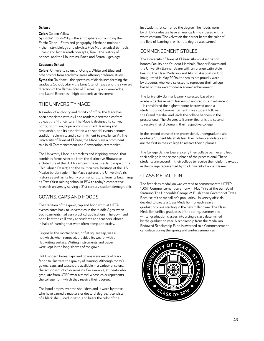#### *Science*

#### **Color:** Golden Yellow

**Symbols:** Clouds/Sky – the atmosphere surrounding the Earth; Globe – Earth and geography; Methane molecule – chemistry, biology and physics; Five Mathematical Symbols – basic and higher math concepts; Tree – the history of science; and the Mountains, Earth and Strata – geology

#### *Graduate School*

**Colors:** University colors of Orange, White and Blue and other colors from academic areas offering graduate study **Symbols:** Rainbow – the spectrum of disciplines forming the Graduate School; Star – the Lone Star of Texas and the skyward direction of the flames; Pan of Flames – group knowledge; and Laurel Branches – high academic achievement

### THE UNIVERSITY MACE

A symbol of authority and dignity of office, the Mace has been associated with civil and academic ceremonies from at least the 14th century. The Mace is designed to convey honor, optimism, hope, accomplishment, learning and scholarship, and its association with special events denotes tradition, solemnity and a commitment to excellence. At The University of Texas at El Paso, the Mace plays a prominent role in all Commencement and Convocation ceremonies.

The University Mace is a timeless and inspiring symbol that combines forms selected from the distinctive Bhutanese architecture of the UTEP campus; the natural landscape of the Chihuahuan Desert; and the multicultural heritage of the U.S.- Mexico border region. The Mace captures the University's rich history as well as its highly promising future, from its beginnings as Texas' first mining school in 1914 to today's competitive research university serving a 21st century student demographic.

# GOWNS, CAPS AND HOODS

The tradition of the gown, cap and hood worn at UTEP events dates back to universities in the Middle Ages, when such garments had very practical applications. The gown and hood kept the chill away as students and teachers labored in halls of learning that were often damp and drafty.

Originally, the mortar board, or flat square cap, was a hat which, when removed, provided its wearer with a flat writing surface. Writing instruments and paper were kept in the long sleeves of the gown.

Until modern times, caps and gowns were made of black fabric to illustrate the gravity of learning. Although today's gowns, caps and tassels are available in a variety of colors, the symbolism of color remains. For example, students who graduate from UTEP wear a tassel whose color represents the college from which they receive their degrees.

The hood drapes over the shoulders and is worn by those who have earned a master's or doctoral degree. It consists of a black shell, lined in satin, and bears the color of the

institution that conferred the degree. The hoods worn by UTEP graduates have an orange lining crossed with a white chevron. The velvet on the border bears the color of the field of learning in which the degree was earned.

### COMMENCEMENT STOLES

The University of Texas at El Paso Alumni Association honors Faculty and Student Marshals, Banner Bearers and the University Banner Bearer with an orange satin stole bearing the Class Medallion and Alumni Association logo. Inaugurated in May 2004, the stoles are proudly worn by students who were selected to represent their college based on their exceptional academic achievement.

The University Banner Bearer – selected based on academic achievement, leadership and campus involvement – is considered the highest honor bestowed upon a student during Commencement. This student follows the Grand Marshal and leads the college banners in the processional. The University Banner Bearer is the second to receive their diploma in their respective college.

In the second phase of the processional, undergraduate and graduate Student Marshals lead their fellow candidates and are the first in their college to receive their diplomas.

The College Banner Bearers carry their college banner and lead their college in the second phase of the processional. These students are second in their college to receive their diploma except in the college represented by the University Banner Bearer.

# CLASS MEDALLION

The first class medallion was created to commemorate UTEP's 100th Commencement ceremony in May 1998 at the Sun Bowl featuring The Honorable George W. Bush, then Governor of Texas. Because of the medallion's popularity, University officials decided to create a Class Medallion for each year's graduating class starting in the new millennium. The Class Medallion unifies graduates of the spring, summer and winter graduation classes into a single class determined by the graduation year. A scholarship from the Medallion Endowed Scholarship Fund is awarded to a Commencement candidate during the spring and winter ceremonies.

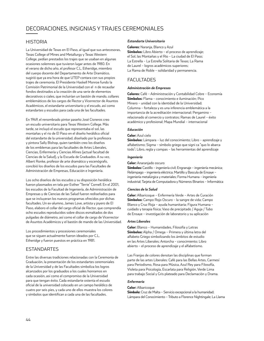# DECORACIONES, INSIGNIAS Y TRAJES CEREMONIALES

### HISTORIA

La Universidad de Texas en El Paso, al igual que sus antecesoras, Texas College of Mines and Metallurgy y Texas Western College, pedían prestados los trajes que se usaban en algunas ocasiones solemnes que tuvieron lugar antes de 1980. En el verano de dicho año, el profesor C.L. Etheridge, miembro del cuerpo docente del Departamento de Arte Dramático, sugirió que ya era hora de que UTEP contara con sus propios trajes de ceremonia. El Presidente Haskell Monroe fundo la Comisión Patrimonial de la Universidad con el n de recaudar fondos destinados a la creación de una serie de elementos decorativos o ciales, que incluirían un bastón de mando, collares emblemáticos de los cargos de Rector y Vicerrector de Asuntos Académicos, el estandarte universitario y el escudo, así como estandartes y escudos para cada una de las facultades.

En 1949, el renombrado pintor paseño José Cisneros creo un escudo universitario para Texas Western College. Más tarde, se incluyó el escudo que representaba el sol, las montañas y el rio de El Paso en el diseño heráldico oficial del estandarte de la universidad, diseñado por la profesora y pintora Sally Bishop, quien también creo los diseños de los emblemas para las facultades de Artes Liberales, Ciencias, Enfermería y Ciencias Afines (actual facultad de Ciencias de la Salud), y la Escuela de Graduados. A su vez, Albert Ronke, profesor de arte dramático y escenógrafo, concibió los diseños de los escudos para las Facultades de Administración de Empresas, Educación e Ingeniería.

Los ocho diseños de los escudos y su disposición heráldica fueron plasmados en tela por Esther "Terrie" Cornell. En el 2001, los escudos de la Facultad de Ingeniería, de Administración de Empresas y de Ciencias de las Salud fueron rediseñados para que se incluyeran los nuevos programas ofrecidos por dichas facultades. Un ex-alumno, James Love, artista y joyero de El Paso, elaboro el collar del cargo oficial de Rector, que comprendía ocho escudos reproducidos sobre discos esmaltados de dos pulgadas de diámetro, así como el collar de cargo de Vicerrector de Asuntos Académicos y el bastón de mando de las Universidad.

Los procedimientos y procesiones ceremoniales que se siguen actualmente fueron ideados por C.L. Etheridge y fueron puestos en práctica en 1981.

# ESTANDARTES

Entre las diversas tradiciones relacionadas con la Ceremonia de Graduación, la presentación de los estandartes ceremoniales de la Universidad y de las Facultades simboliza los logros alcanzados por los graduados a los cuales honramos en cada ocasión, así como el compromiso de la Universidad para que tengan éxito. Cada estandarte ostenta el escudo oficial de la universidad colocado en un campo heráldico de cuatro por seis pies, y cada uno de ellos muestra los colores y símbolos que identifican a cada una de las facultades.

#### *Estandarte Universitario*

#### **Colores:** Naranja, Blanco y Azul

**Símbolos:** Libro Abierto – el proceso de aprendizaje; el Sol, las Montañas y el Rio – La ciudad de El Paso; La Estrella – La Estrella Solitaria de Texas; La Rama de Laurel – logros académicos superiores; La Rama de Roble – solidaridad y permanencia.

# FACULTADES

#### *Administración de Empresas*

**Colores:** Café – Administración y Contabilidad Cobre – Economía **Símbolos:** Flama – conocimiento e iluminación; Pico Minero – unidad con la identidad de la Universidad; Columna – fortaleza y es una inferencia emblemática a la importancia de la acreditación internacional; Pergamino – relacionado al comercio y contratos; Ramas de Laurel – éxito académico y profesional; Mapa Mundial – internacional

#### *Educación*

#### **Color:** Azul cielo

**Símbolos:** Lámpara – luz del conocimiento; Libro – aprendizaje y alfabetismo; Sigma – símbolo griego que signi ca "quo lo abarca todo"; Libro, regla y compas – las herramientas del aprendizaje

#### *Ingeniería*

#### **Color:** Anaranjado oscuro

**Símbolos:** Castillo – ingeniería civil; Engranaje – ingeniería mecánica; Relámpago – ingeniería eléctrica; Martillo y Bascula de Ensaye – ingeniería metalúrgica y materiales; Forma Humana – ingeniería industrial; Tarjeta de Computadora y Números Binarios – Informática

#### *Ciencias de la Salud*

**Color:** Albaricoque – Enfermería Verde – Artes de Curación **Símbolos:** Campo Rojo Oscuro – la sangre de vida; Campo Blanco y Cruz Roja – ayuda humanitaria; Figura Humana – cuidado y terapia física; Vaso de precipitado / Aguja / Tubo de Ensaye – investigación de laboratorio y su aplicación

#### *Artes Liberales*

**Color:** Blanco – Humanidades, Filosofía y Letras **Símbolos:** Alpha / Omega – Primera y última letra del alfabeto Griego simbolizando los ámbitos de estudio en las Artes Liberales; Antorcha – conocimiento; Libro abierto – el proceso de aprendizaje y el alfabetismo.

Las Franjas de colores denotan las disciplinas que forman parte de las artes Liberales: Café para las Bellas Artes, Carmesí para Periodismo, Rosa para Música, Azul Rey para Filosofía, Violeta para Psicología, Escarlata para Religión, Verde Lima para trabajo Social y Gris plateado para Declamación y Drama.

#### *Enfermería*

#### **Color:** Albaricoque

**Símbolo:** Cruz de Malta – Servicio excepcional a la humanidad; Lámpara del Conocimiento – Tributo a Florence Nightingale; La Llama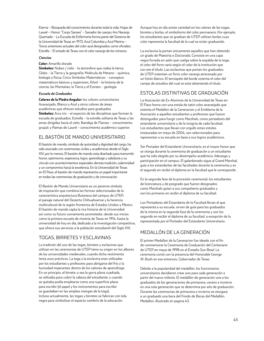Eterna – Búsqueda del conocimiento durante toda la vida; Hojas de Laurel – Honor; "Corps Sanare" – Sanador de cuerpo; Aro Naranja Quemado – La Escuela de Enfermería forma parte del Sistema de la Universidad de Texas en 1972; Azul Columbia y Azul Marino – Tonos anteriores actuales del color azul designados como oficiales; Estrella – El estado de Texas con el color naranja de los mineros.

#### *Ciencias*

#### **Color:** Amarillo dorado

**Símbolos:** Nubes / cielo – la atmosfera que rodea la tierra; Globo – la Tierra y la geografía; Molécula de Metano – química, biología y física; Cinco Símbolos Matemáticos – conceptos matemáticos básicos y superiores; Árbol – la historia de la ciencia; las Montañas, la Tierra y el Estrato – geología

#### *Escuela de Graduados*

**Colores de la Piedra Angular:** los colores universitarios Anaranjado, Blanco y Azul y otros colores de áreas académicas que ofrecen estudios para graduados **Símbolos:** Arco iris – el espectro de las disciplinas que forman la escuela de graduados; Estrella – la estrella solitaria de Texas y las amas dirigidas hacia el cielo; Bandeja de Flamas – conocimiento grupal; y Ramas de Laurel – conocimiento académico superior.

# EL BASTÓN DE MANDO UNIVERSITARIO

El bastón de mando, símbolo de autoridad y dignidad del cargo, ha sido asociado con ceremonias civiles y académicas desde el Siglo XIV, por lo menos. El bastón de mando esta diseñado para transmitir honor, optimismo, esperanza, logro, aprendizaje y sabiduría y su vínculo con acontecimientos especiales denota tradición, solemnidad y un compromiso hacia la excelencia. En la Universidad de Texas en El Paso, el bastón de mando representa un papel importante en todas las ceremonias de graduación y de convocación.

El Bastón de Mando Universitario es un perenne símbolo de inspiración que combina las formas seleccionadas de la característica arquitectura Butanesa del campus de UTEP, el paisaje natural del Desierto Chihuahuense y la herencia multicultural de la región fronteriza de Estados Unidos y México. El bastón de mando capta la rica historia de la Universidad así como su futuro sumamente prometedor, desde sus inicios como la primera escuela de minería de Texas en 1914, hasta la universidad de hoy en día, dedicada a la investigación competitiva, que ofrece sus servicios a la población estudiantil del Siglo XXI.

### TOGAS, BIRRETES Y ESCLAVINAS

La tradición del uso de las togas, birretes y esclavinas que utilizan en las ceremonias de UTEP tiene su origen en los albores de las universidades medievales, cuando dicha vestimenta tenia usos prácticos. La toga y la esclavina eran utilizadas por los estudiantes y profesores para abrigarse del frio y la humedad imperantes dentro de los salones de aprendizaje. En un principio, el birrete, o sea la gorra plana cuadrada, se utilizaba para cubrir la cabeza del estudiante, y cuando se quitaba podía emplearse como una superficie plana para escribir (el papel y los instrumentos para escribir se guardaban en las amplias mangas de la toga). Incluso actualmente, las togas y birretes se fabrican con tela negra para simbolizar el aspecto sombrío de la educación.

Aunque hoy en día existe variedad en los colores de las togas, birretes y borlas, el simbolismo del color permanece. Por ejemplo, los estudiantes que se gradúan de UTEP utilizan borlas cuyo color representa la facultad de la cual se están graduando.

La esclavina la portan únicamente aquellos que han obtenido un grado de Maestría o Doctorado. Consiste en una capa negra forrada en satín que cuelga sobre la espalda de la toga; el color del forro varía según el color de la institución que con ere el título. Las esclavinas que portan los graduados de UTEP ostentan un forro color naranja atravesado por un listón blanco. El terciopelo del borde ostenta el color del campo de estudios del cual se está obteniendo el título.

# ESTOLAS DISTINTIVAS DE GRADUACIÓN

La Asociación de Ex-Alumnos de la Universidad de Texas en El Paso honra con una estola de satín color anaranjado que ostenta el Medallon de la Generacion y el Emblema de la Asociación a aquellos estudiantes y profesores que fueron distinguidos para fungir como Marshals, como portadores del estandarte universitario y de la insignia de cada facultad. Los estudiantes que llevan con orgullo estas estolas instauradas en mayo de 2004, son seleccionados para representar a su escuela en base a sus logros académicos.

Ser Portador del Estandarte Universitario, es el mayor honor que se otorga durante la ceremonia de graduación a un estudiante que ha sido elegido por su desempeño académico, liderazgo y participación en el campus. El galardonado sigue al Grand Marshal, guía a los estandartes de las facultades durante la ceremonia y es el segundo en recibir el diploma en la facultad que le corresponde.

En la segunda fase de la procesión ceremonial, los estudiantes de licenciatura y de posgrado que fueron designados como Marshals guían a sus compañeros graduados y son los primeros en recibir el diploma de su facultad.

Los Portadores del Estandarte de la Facultad llevan el que representa a su escuela, sirven de guía para los graduados de la misma en la segunda fase de la ceremonia y son los segundo en recibir el diploma de su facultad, a excepción de la representada por el Portador del Estandarte Universitario.

# MEDALLÓN DE LA GENERACIÓN

El primer Medallon de la Generacion fue ideado con el fin de conmemorar la Ceremonia de Graduación del Centenario de UTEP en mayo de 1998 en el Estadio Sun Bowl. La ceremonia contó con la presencia del Honorable George W. Bush en ese entonces, Gobernador de Texas.

Debido a la popularidad del medallón, los funcionarios universitarios decidieron crear uno para cada generación a partir del nuevo milenio. El medallón de generación une a los graduados de las generaciones de primavera, verano e invierno en una sola generación que se determina por año de graduación. Durante las ceremonias de primavera e invierno se otorgara a un graduado una beca del Fondo de Becas del Medallón. Medallon, illustrado en pagina 43.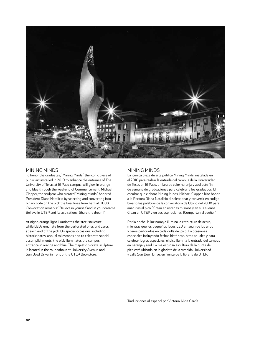

#### MINING MINDS

To honor the graduates, "Mining Minds," the iconic piece of public art installed in 2010 to enhance the entrance of The University of Texas at El Paso campus, will glow in orange and blue through the weekend of Commencement. Michael Clapper, the sculptor who created "Mining Minds," honored President Diana Natalicio by selecting and converting into binary code on the pick the final lines from her Fall 2008 Convocation remarks: "Believe in yourself and in your dreams. Believe in UTEP and its aspirations. Share the dream!"

At night, orange light illuminates the steel structure, while LEDs emanate from the perforated ones and zeros at each end of the pick. On special occasions, including historic dates, annual milestones and to celebrate special accomplishments, the pick illuminates the campus' entrance in orange and blue. The majestic pickaxe sculpture is located in the roundabout at University Avenue and Sun Bowl Drive, in front of the UTEP Bookstore.

### MINING MINDS

La icónica pieza de arte público Mining Minds, instalada en el 2010 para realzar la entrada del campus de la Universidad de Texas en El Paso, brillara de color naranja y azul este fin de semana de graduaciones para celebrar a los graduados. El escultor que elaboro Mining Minds, Michael Clapper, hizo honor a la Rectora Diana Natalicio el seleccionar y convertir en código binario las palabras de la convocatoria de Otoño del 2008 para añadirlas al pico: "Crean en ustedes mismos y en sus sueños. Crean en UTEP y en sus aspiraciones. ¡Compartan el sueño!"

Por la noche, la luz naranja ilumina la estructura de acero, mientras que los pequeños focos LED emanan de los unos y ceros perforados en cada orilla del pico. En ocasiones especiales incluyendo fechas históricas, hitos anuales y para celebrar logros especiales, el pico ilumina la entrada del campus en naranja y azul. La majestuosa escultura de la punta de pico está ubicada en la glorieta de la Avenida Universidad y calle Sun Bowl Drive, en frente de la librería de UTEP.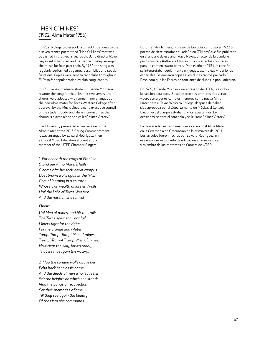# "MEN O' MINES" (1932; Alma Mater 1956)

In 1932, biology professor Burt Franklin Jenness wrote a seven stanza poem titled "Men O' Mines" that was published in that year's yearbook. Band director Rayo Reyes set it to music and Katherine Owsley arranged the music for four-part choir. By 1934 the song was regularly performed at games, assemblies and special functions. Copies were sent to civic clubs throughout El Paso for popularization by club song leaders.

In 1956, music graduate student J. Sande Morrison rewrote the song for choir. Its first two verses and chorus were adopted with some minor changes as the new alma mater for Texas Western College after approval by the Music Department, executive council of the student body, and alumni. Sometimes the chorus is played alone and called "Miner Victory."

The University premiered a new version of the Alma Mater at the 2015 Spring Commencement. It was arranged by Edward Rodriguez, then a Choral Music Education student and a member of the UTEP Chamber Singers.

*1. Far beneath the crags of Franklin Stand our Alma Mater's halls. Gleams afar her rock-hewn campus, Dust brown walls against the hills. Gem of learning in a country Whose own wealth of lore enthralls. Hail the light of Texas Western And the mission she fulfills!*

#### *Chorus:*

*Up! Men of mines, and hit the trail; The Texas spirit shall not fail; Miners fight for the right! For the orange and white! Tamp! Tamp! Tamp! Men of mines, Tramp! Tramp! Tramp! Men of mines, Now clear the way, for it's today, That we must gain the victory.*

*2. May the canyon walls above her Echo back her classic name, And the deeds of men who leave her Stir the heights on which she stands. May the pangs of recollection Set their memories aflame, Till they see again the beauty Of the vista she commands.*

Burt Franklin Jenness, profesor de biología, compuso en 1932 un poema de siete estrofas titulado "Men O'Mines" que fue publicado en el anuario de ese año. Rayo Reyes, director de la banda le puso música y Katherine Owsley hizo los arreglos musicales para un coro en cuatro partes. Para el año de 1934, la canción se interpretaba regularmente en juegos, asambleas y reuniones especiales. Se enviaron copias a los clubes cívicos por todo El Paso para que los líderes de canciones de clubes la popularizaran.

En 1965, J. Sande Morrison, un egresado de UTEP, reescribió la canción para coro. Se adaptaron sus primeros dos versos y coro con algunos cambios menores como nueva Alma Mater para el Texas Western College, después de haber sido aprobada por el Departamento de Música, el Consejo Ejecutivo del cuerpo estudiantil y los ex-alumnos. En ocasiones, se toca el coro solo y se le llama "Miner Victory".

La Universidad estrenó una nueva versión del Alma Mater en la Ceremonia de Graduación de la primavera del 2011. Los arreglos fueron hechos por Edward Rodríguez, en ese entonces estudiante de educación en música coral y miembro de los cantantes de Cámara de UTEP.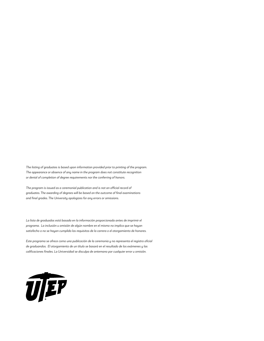*The listing of graduates is based upon information provided prior to printing of the program. The appearance or absence of any name in the program does not constitute recognition or denial of completion of degree requirements nor the conferring of honors.*

*The program is issued as a ceremonial publication and is not an official record of graduates. The awarding of degrees will be based on the outcome of final examinations and final grades. The University apologizes for any errors or omissions.*

*La lista de graduados está basada en la información proporcionada antes de imprimir el programa. La inclusión u omisión de algún nombre en el mismo no implica que se hayan satisfecho o no se hayan cumplido los requisitos de la carrera o el otorgamiento de honores.*

*Este programa se ofrece como una publicación de la ceremonia y no representa el registro oficial de graduandos. El otorgamiento de un título se basará en el resultado de los exámenes y las calificaciones finales. La Universidad se disculpa de antemano por cualquier error u omisión.*